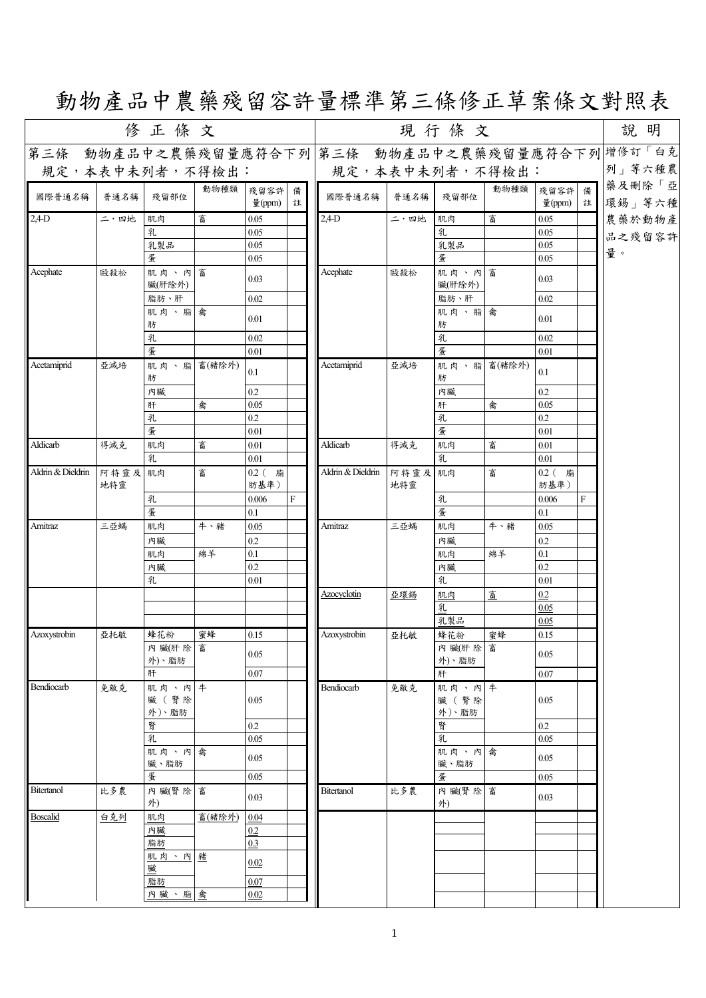## 動物產品中農藥殘留容許量標準第三條修正草案條文對照表

|                   |                | 修正條文                   |        |                  |   |                   |                | 說明                     |            |                   |        |                                                  |
|-------------------|----------------|------------------------|--------|------------------|---|-------------------|----------------|------------------------|------------|-------------------|--------|--------------------------------------------------|
|                   |                |                        |        |                  |   |                   |                |                        |            |                   |        | 第三條 動物產品中之農藥殘留量應符合下列 第三條 動物產品中之農藥殘留量應符合下列 增修訂「白克 |
| 規定,本表中未列者,不得檢出:   |                |                        |        |                  |   | 規定,本表中未列者,不得檢出:   |                |                        |            |                   |        | 列」等六種農                                           |
| 國際普通名稱            | 普通名稱           | 殘留部位                   | 動物種類   | 殘留容許 備<br>量(ppm) | 註 | 國際普通名稱            | 普通名稱           | 殘留部位                   | 動物種類       | 殘留容許<br>量 $(ppm)$ | 備<br>註 | 藥及刪除「亞<br>環錫」等六種                                 |
| $2,4$ -D          | 二・四地           | 肌肉                     | 畜      | 0.05             |   | $2,4$ -D          | 二・四地           | 肌肉                     | 畜          | 0.05              |        | 農藥於動物產                                           |
|                   |                | 乳                      |        | 0.05             |   |                   |                | 乳                      |            | 0.05              |        | 品之殘留容許                                           |
|                   |                | 乳製品                    |        | 0.05             |   |                   |                | 乳製品                    |            | 0.05              |        | 量。                                               |
|                   |                | 蛋                      |        | 0.05             |   |                   |                | 蛋                      |            | 0.05              |        |                                                  |
| Acephate          | 毆殺松            | 肌肉、內畜<br>臟(肝除外)        |        | 0.03             |   | Acephate          | 毆殺松            | 肌肉、內畜<br>臟(肝除外)        |            | 0.03              |        |                                                  |
|                   |                | 脂肪、肝                   |        | 0.02             |   |                   |                | 脂肪、肝                   |            | 0.02              |        |                                                  |
|                   |                | 肌肉、脂禽<br>肪             |        | 0.01             |   |                   |                | 肌肉、脂禽<br>肪             |            | 0.01              |        |                                                  |
|                   |                | 乳                      |        | 0.02             |   |                   |                | 乳                      |            | 0.02              |        |                                                  |
|                   |                | 蛋                      |        | 0.01             |   |                   |                | 蛋                      |            | 0.01              |        |                                                  |
| Acetamiprid       | 亞滅培            | 肌肉、脂畜(豬除外)<br>肪        |        | 0.1              |   | Acetamiprid       | 亞滅培            | 肪                      | 肌肉、脂畜(豬除外) | 0.1               |        |                                                  |
|                   |                | 內臟                     |        | 0.2              |   |                   |                | 內臟                     |            | 0.2               |        |                                                  |
|                   |                | 肝                      | 禽      | $0.05$           |   |                   |                | 肝                      | 禽          | 0.05              |        |                                                  |
|                   |                | 乳<br>蛋                 |        | 0.2              |   |                   |                | 乳<br>蛋                 |            | 0.2               |        |                                                  |
|                   |                |                        |        | 0.01             |   |                   |                |                        |            | 0.01              |        |                                                  |
| Aldicarb          | 得滅克            | 肌肉                     | 畜      | 0.01             |   | Aldicarb          | 得滅克            | 肌肉                     | 畜          | 0.01              |        |                                                  |
| Aldrin & Dieldrin |                | 乳                      |        | 0.01             |   | Aldrin & Dieldrin |                | 乳                      |            | 0.01              |        |                                                  |
|                   | 阿特靈及 肌肉<br>地特靈 |                        | 畜      | 0.2 (脂<br>肪基準)   |   |                   | 阿特靈及 肌肉<br>地特靈 |                        | 畜          | 0.2 (脂<br>肪基準)    |        |                                                  |
|                   |                | 乳                      |        | 0.006            | F |                   |                | 乳                      |            | 0.006             | F      |                                                  |
|                   |                | 蛋                      |        | 0.1              |   |                   |                | 蛋                      |            | 0.1               |        |                                                  |
| Amitraz           | 三亞蟎            | 肌肉                     | 牛、豬    | 0.05             |   | Amitraz           | 三亞蟎            | 肌肉                     | 牛、豬        | 0.05              |        |                                                  |
|                   |                | 內臟<br>肌肉               | 綿羊     | 0.2<br>0.1       |   |                   |                | 內臟<br>肌肉               | 綿羊         | 0.2<br>0.1        |        |                                                  |
|                   |                | 內臟                     |        | 0.2              |   |                   |                | 內臟                     |            | 0.2               |        |                                                  |
|                   |                | 乳                      |        | 0.01             |   |                   |                | 乳                      |            | 0.01              |        |                                                  |
|                   |                |                        |        |                  |   | Azocyclotin       | 亞環錫            | 肌肉                     | 畜          | 0.2               |        |                                                  |
|                   |                |                        |        |                  |   |                   |                | 乳                      |            | 0.05              |        |                                                  |
|                   |                |                        |        |                  |   |                   |                | 乳製品                    |            | 0.05              |        |                                                  |
| Azoxystrobin      | 亞托敏            | 蜂花粉                    | 蜜蜂     | 0.15             |   | Azoxystrobin      | 亞托敏            | 蜂花粉                    | 蜜蜂         | 0.15              |        |                                                  |
|                   |                | 內臟(肝除富<br>外)、脂肪        |        | $0.05\,$         |   |                   |                | 內 臟(肝 除 畜<br>外)、脂肪     |            | 0.05              |        |                                                  |
|                   |                | 肝                      |        | $0.07\,$         |   |                   |                | 肝                      |            | $0.07\,$          |        |                                                  |
| Bendiocarb        | 免敵克            | 肌肉、內牛<br>臟(腎除<br>外)、脂肪 |        | 0.05             |   | Bendiocarb        | 免敵克            | 肌肉、內牛<br>臟(腎除<br>外)、脂肪 |            | 0.05              |        |                                                  |
|                   |                | 腎                      |        | $0.2\,$          |   |                   |                | 腎                      |            | $0.2\,$           |        |                                                  |
|                   |                | 乳                      |        | 0.05             |   |                   |                | 乳                      |            | 0.05              |        |                                                  |
|                   |                | 肌肉、內禽<br>臟、脂肪          |        | 0.05             |   |                   |                | 肌肉、內禽<br>臟、脂肪          |            | 0.05              |        |                                                  |
|                   |                | 蛋                      |        | 0.05             |   |                   |                | 蛋                      |            | 0.05              |        |                                                  |
| <b>Bitertanol</b> | 比多農            | 內臟(腎除富<br>外)           |        | 0.03             |   | <b>Bitertanol</b> | 比多農            | 內臟(腎除富<br>外)           |            | 0.03              |        |                                                  |
| Boscalid          | 白克列            | 肌肉                     | 畜(豬除外) | $0.04\,$         |   |                   |                |                        |            |                   |        |                                                  |
|                   |                | 內臟                     |        | 0.2              |   |                   |                |                        |            |                   |        |                                                  |
|                   |                | 脂肪                     |        | 0.3              |   |                   |                |                        |            |                   |        |                                                  |
|                   |                | 肌肉、內豬<br>臟             |        | 0.02             |   |                   |                |                        |            |                   |        |                                                  |
|                   |                | 脂肪                     |        | 0.07             |   |                   |                |                        |            |                   |        |                                                  |
|                   |                | 內臟、脂禽                  |        | 0.02             |   |                   |                |                        |            |                   |        |                                                  |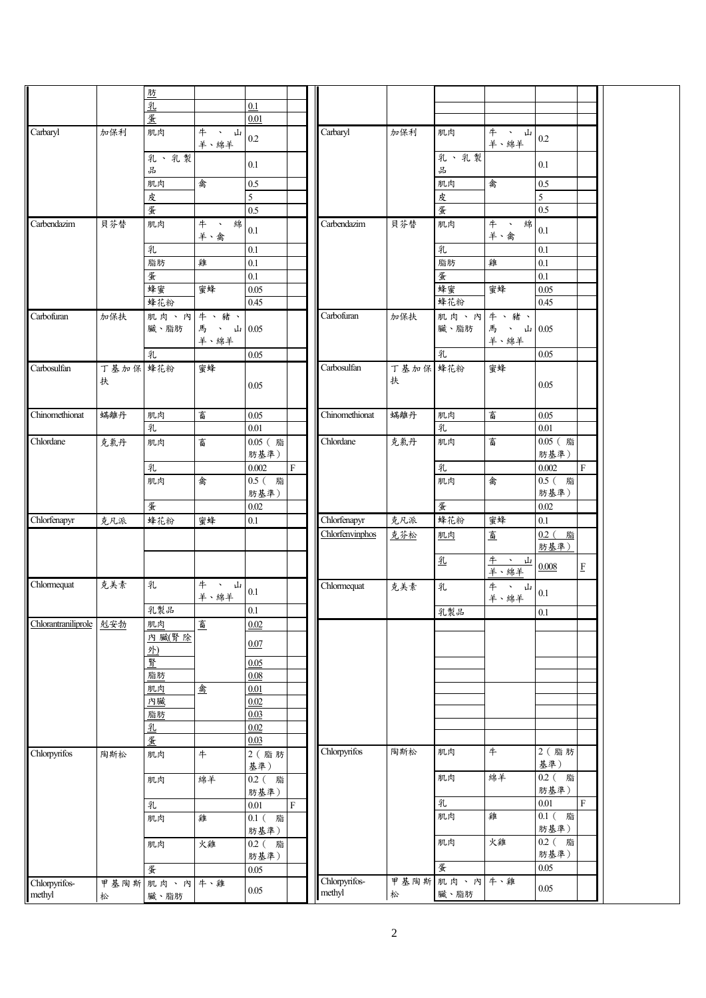|                         |               | 肪                |                    |                      |                           |                 |               |                                   |                                |                  |                    |
|-------------------------|---------------|------------------|--------------------|----------------------|---------------------------|-----------------|---------------|-----------------------------------|--------------------------------|------------------|--------------------|
|                         |               | 乳                |                    | 0.1                  |                           |                 |               |                                   |                                |                  |                    |
|                         |               |                  |                    |                      |                           |                 |               |                                   |                                |                  |                    |
|                         |               | 蛋                |                    | 0.01                 |                           |                 |               |                                   |                                |                  |                    |
| Carbaryl                | 加保利           | 肌肉               | #<br>、 山<br>羊、綿羊   | $0.2\,$              |                           | Carbaryl        | 加保利           | 肌肉                                | 牛<br>- ^ 山<br>羊、綿羊             | $0.2\,$          |                    |
|                         |               | 乳、乳製<br>品        |                    | 0.1                  |                           |                 |               | 乳、乳製<br>$\frac{\Omega}{\Omega^2}$ |                                | 0.1              |                    |
|                         |               | 肌肉               | 禽                  | $0.5\,$              |                           |                 |               | 肌肉                                | 禽                              | 0.5              |                    |
|                         |               | 皮                |                    | 5                    |                           |                 |               | 皮                                 |                                | 5                |                    |
|                         |               | 蛋                |                    | 0.5                  |                           |                 |               | 蛋                                 |                                | 0.5              |                    |
| Carbendazim             | 貝芬替           | 肌肉               | #<br>綿<br>$\Delta$ |                      |                           | Carbendazim     | 貝芬替           | 肌肉                                | $+$<br>綿<br>$\bar{\mathbf{v}}$ |                  |                    |
|                         |               |                  | 羊、禽                | 0.1                  |                           |                 |               |                                   | 羊、禽                            | $0.1\,$          |                    |
|                         |               | 乳                |                    | $0.1\,$              |                           |                 |               | 乳                                 |                                | 0.1              |                    |
|                         |               | 脂肪               | 雞                  | $0.1\,$              |                           |                 |               | 脂肪                                | 雞                              | 0.1              |                    |
|                         |               | 蛋                |                    | $0.1\,$              |                           |                 |               | 蛋                                 |                                | $\overline{0.1}$ |                    |
|                         |               | 蜂蜜               | 蜜蜂                 | 0.05                 |                           |                 |               | 蜂蜜                                | 蜜蜂                             | 0.05             |                    |
|                         |               | 蜂花粉              |                    | 0.45                 |                           |                 |               | 蜂花粉                               |                                | 0.45             |                    |
| Carbofuran              | 加保扶           | 肌肉、內牛、豬、<br>臟、脂肪 | 馬、山<br>羊、綿羊        | 0.05                 |                           | Carbofuran      | 加保扶           | 肌肉、內牛、豬、<br>臟、脂肪                  | 馬 、 山 0.05<br>羊、綿羊             |                  |                    |
|                         |               | 乳                |                    | 0.05                 |                           |                 |               | 乳                                 |                                | 0.05             |                    |
| Carbosulfan             | 丁基加保 蜂花粉<br>扶 |                  | 蜜蜂                 | 0.05                 |                           | Carbosulfan     | 丁基加保 蜂花粉<br>扶 |                                   | 蜜蜂                             | 0.05             |                    |
| Chinomethionat          | 蟎離丹           | 肌肉               | 畜                  | 0.05                 |                           | Chinomethionat  | 蟎離丹           | 肌肉                                | 畜                              | 0.05             |                    |
|                         |               | 乳                |                    | 0.01                 |                           |                 |               | 乳                                 |                                | $0.01\,$         |                    |
| Chlordane               |               |                  |                    | $0.05$ (脂            |                           | Chlordane       |               |                                   | 畜                              | 0.05 (脂          |                    |
|                         | 克氯丹           | 肌肉               | 畜                  | 肪基準)                 |                           |                 | 克氯丹           | 肌肉                                |                                | 肪基準)             |                    |
|                         |               | 乳                |                    | 0.002                | $\boldsymbol{\mathrm{F}}$ |                 |               | 乳                                 |                                | $0.002\,$        | $\mathbf{F}$       |
|                         |               | 肌肉               | 禽                  | 0.5 (脂<br>肪基準)       |                           |                 |               | 肌肉                                | 禽                              | 0.5 (脂<br>肪基準)   |                    |
|                         |               | 蛋                |                    | $0.02\,$             |                           |                 |               | 蛋                                 |                                | $0.02\,$         |                    |
| Chlorfenapyr            | 克凡派           | 蜂花粉              | 蜜蜂                 | $0.1\,$              |                           | Chlorfenapyr    | 克凡派           | 蜂花粉                               | 蜜蜂                             | $0.1\,$          |                    |
|                         |               |                  |                    |                      |                           | Chlorfenvinphos | 克芬松           | 肌肉                                | 畜                              | $0.2$ (脂<br>肪基準) |                    |
|                         |               |                  |                    |                      |                           |                 |               | 乳                                 | 牛 、 」<br>羊、綿羊<br>- ^ 山         | 0.008            | $\mathbf{F}% _{0}$ |
| Chlormequat             | 克美素           | 乳                | 牛、山<br>羊、綿羊        | $0.1\,$              |                           | Chlormequat     | 克美素           | 乳                                 | 牛 、<br>山<br>羊、綿羊               | $0.1\,$          |                    |
|                         |               | 乳製品              |                    | 0.1                  |                           |                 |               | 乳製品                               |                                | 0.1              |                    |
| Chlorantraniliprole     | 剋安勃           | 肌肉               | 畜                  | 0.02                 |                           |                 |               |                                   |                                |                  |                    |
|                         |               | 內臟(腎除<br>外)      |                    | 0.07                 |                           |                 |               |                                   |                                |                  |                    |
|                         |               | 腎                |                    | 0.05                 |                           |                 |               |                                   |                                |                  |                    |
|                         |               | 脂肪               |                    | 0.08                 |                           |                 |               |                                   |                                |                  |                    |
|                         |               | 肌肉               | 禽                  | 0.01                 |                           |                 |               |                                   |                                |                  |                    |
|                         |               | 內臟               |                    | 0.02                 |                           |                 |               |                                   |                                |                  |                    |
|                         |               | 脂肪               |                    | 0.03                 |                           |                 |               |                                   |                                |                  |                    |
|                         |               |                  |                    |                      |                           |                 |               |                                   |                                |                  |                    |
|                         |               | 乳                |                    | 0.02                 |                           |                 |               |                                   |                                |                  |                    |
|                         |               | 蛋                |                    | 0.03                 |                           |                 |               |                                   |                                |                  |                    |
| Chlorpyrifos            | 陶斯松           | 肌肉               | #                  | 2 (脂肪<br>基準)         |                           | Chlorpyrifos    | 陶斯松           | 肌肉                                | $+$                            | 2 (脂肪<br>基準)     |                    |
|                         |               | 肌肉               | 綿羊                 | $0.2$ (<br>脂<br>肪基準) |                           |                 |               | 肌肉                                | 綿羊                             | 0.2 (脂<br>肪基準)   |                    |
|                         |               | 乳                |                    | 0.01                 | $\mathbf{F}$              |                 |               | 乳                                 |                                | $0.01\,$         | $\mathbf F$        |
|                         |               | 肌肉               | 雞                  | 0.1 (脂<br>肪基準)       |                           |                 |               | 肌肉                                | 雞                              | $0.1$ (脂<br>肪基準) |                    |
|                         |               | 肌肉               | 火雞                 | 0.2 (脂<br>肪基準)       |                           |                 |               | 肌肉                                | 火雞                             | 0.2 (脂<br>肪基準)   |                    |
|                         |               | 蛋                |                    | 0.05                 |                           |                 |               | 蛋                                 |                                | 0.05             |                    |
|                         |               |                  |                    |                      |                           | Chlorpyrifos-   | 甲基陶斯          | 肌肉、內 牛、雞                          |                                |                  |                    |
| Chlorpyrifos-<br>methyl | 甲基陶斯<br>松     | 肌肉、內 牛、雞<br>臟、脂肪 |                    | 0.05                 |                           | methyl          | 松             | 臟、脂肪                              |                                | $0.05\,$         |                    |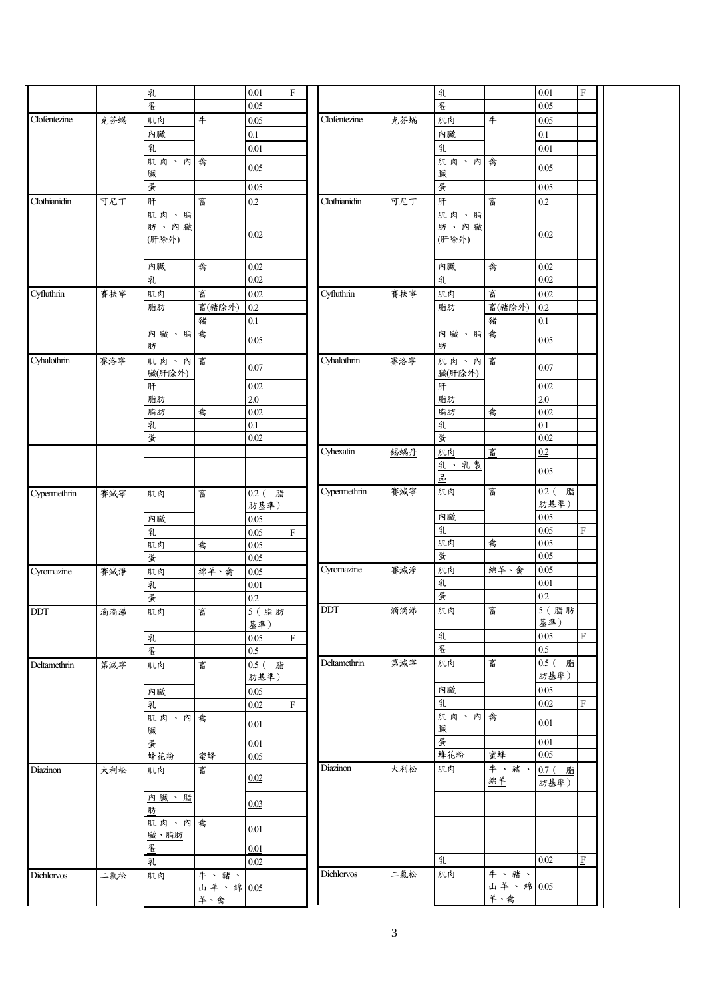|              |     | 乳         |                  | 0.01     | ${\bf F}$   |              |     | 乳         |                  | 0.01         | $\mathbf F$ |
|--------------|-----|-----------|------------------|----------|-------------|--------------|-----|-----------|------------------|--------------|-------------|
|              |     | 蛋         |                  | $0.05\,$ |             |              |     | 蛋         |                  | 0.05         |             |
| Clofentezine | 克芬蟎 | 肌肉        | $+$              | $0.05\,$ |             | Clofentezine | 克芬蟎 | 肌肉        | #                | $0.05\,$     |             |
|              |     |           |                  |          |             |              |     |           |                  |              |             |
|              |     | 內臟        |                  | 0.1      |             |              |     | 內臟        |                  | $0.1\,$      |             |
|              |     | 乳         |                  | 0.01     |             |              |     | 乳         |                  | 0.01         |             |
|              |     | 肌肉、內      | 禽                | 0.05     |             |              |     | 肌肉、內      | 禽                | 0.05         |             |
|              |     | 臟         |                  |          |             |              |     | 臟         |                  |              |             |
|              |     | 蛋         |                  | 0.05     |             |              |     | 蛋         |                  | 0.05         |             |
| Clothianidin | 可尼丁 | 肝         | 畜                | $0.2\,$  |             | Clothianidin | 可尼丁 | 肝         | 畜                | $0.2\,$      |             |
|              |     | 肌肉、脂      |                  |          |             |              |     | 肌肉、脂      |                  |              |             |
|              |     | 肪、內臟      |                  | $0.02\,$ |             |              |     | 肪、內臟      |                  | $0.02\,$     |             |
|              |     | (肝除外)     |                  |          |             |              |     | (肝除外)     |                  |              |             |
|              |     |           |                  |          |             |              |     |           |                  |              |             |
|              |     | 內臟        | 禽                | 0.02     |             |              |     | 內臟        | 禽                | 0.02         |             |
|              |     | 乳         |                  | 0.02     |             |              |     | 乳         |                  | 0.02         |             |
| Cyfluthrin   | 賽扶寧 | 肌肉        | 畜                | 0.02     |             | Cyfluthrin   | 賽扶寧 | 肌肉        | 畜                | 0.02         |             |
|              |     | 脂肪        | 畜(豬除外)           | 0.2      |             |              |     | 脂肪        | 畜(豬除外)           | 0.2          |             |
|              |     |           | 豬                | $0.1\,$  |             |              |     |           | 豬                | $0.1\,$      |             |
|              |     |           | 禽                |          |             |              |     |           |                  |              |             |
|              |     | 內臟、脂<br>肪 |                  | 0.05     |             |              |     | 內臟、脂<br>肪 | 禽                | 0.05         |             |
|              |     |           |                  |          |             |              |     |           |                  |              |             |
| Cyhalothrin  | 賽洛寧 | 肌肉、內      | 畜                | 0.07     |             | Cyhalothrin  | 賽洛寧 | 肌肉、內      | 畜                | $0.07\,$     |             |
|              |     | 臟(肝除外)    |                  |          |             |              |     | 臟(肝除外)    |                  |              |             |
|              |     | 肝         |                  | $0.02\,$ |             |              |     | 肝         |                  | $0.02\,$     |             |
|              |     | 脂肪        |                  | 2.0      |             |              |     | 脂肪        |                  | 2.0          |             |
|              |     | 脂肪        | 禽                | $0.02\,$ |             |              |     | 脂肪        | 禽                | 0.02         |             |
|              |     | 乳         |                  | $0.1\,$  |             |              |     | 乳         |                  | 0.1          |             |
|              |     | 蛋         |                  | 0.02     |             |              |     | 蛋         |                  | 0.02         |             |
|              |     |           |                  |          |             | Cyhexatin    | 錫蟎丹 | 肌肉        | 畜                | 0.2          |             |
|              |     |           |                  |          |             |              |     | 乳、乳製      |                  |              |             |
|              |     |           |                  |          |             |              |     | 品         |                  | 0.05         |             |
| Cypermethrin | 賽滅寧 | 肌肉        | 畜                | 0.2 (脂   |             | Cypermethrin | 賽滅寧 | 肌肉        | 畜                | 0.2 (脂       |             |
|              |     |           |                  | 肪基準)     |             |              |     |           |                  | 肪基準)         |             |
|              |     | 內臟        |                  | $0.05\,$ |             |              |     | 內臟        |                  | 0.05         |             |
|              |     | 乳         |                  | 0.05     | ${\rm F}$   |              |     | 乳         |                  | 0.05         | $\mathbf F$ |
|              |     | 肌肉        | 禽                | 0.05     |             |              |     | 肌肉        | 禽                | 0.05         |             |
|              |     | 蛋         |                  | 0.05     |             |              |     | 蛋         |                  | 0.05         |             |
| Cyromazine   | 賽滅淨 | 肌肉        | 綿羊、禽             | 0.05     |             | Cyromazine   | 賽滅淨 | 肌肉        | 綿羊、禽             | 0.05         |             |
|              |     |           |                  |          |             |              |     | 乳         |                  | 0.01         |             |
|              |     | 乳         |                  | $0.01\,$ |             |              |     | 蛋         |                  | $0.2\,$      |             |
|              |     | 蛋         |                  | 0.2      |             |              |     |           |                  |              |             |
| <b>DDT</b>   | 滴滴涕 | 肌肉        | 畜                | 5 (脂肪    |             | <b>DDT</b>   | 滴滴涕 | 肌肉        | 畜                | $5$ (脂肪      |             |
|              |     |           |                  | 基準)      |             |              |     |           |                  | 基準)          |             |
|              |     | 乳         |                  | 0.05     | $\rm F$     |              |     | 乳         |                  | 0.05         | $\mathbf F$ |
|              |     | 蛋         |                  | $0.5\,$  |             |              |     | 蛋         |                  | $0.5\,$      |             |
| Deltamethrin | 第滅寧 | 肌肉        | 畜                | $0.5$ (脂 |             | Deltamethrin | 第滅寧 | 肌肉        | 畜                | 0.5 (脂       |             |
|              |     |           |                  |          |             |              |     |           |                  | 肪基準)         |             |
|              |     |           |                  | 肪基準)     |             |              |     |           |                  |              |             |
|              |     | 內臟        |                  | 0.05     |             |              |     | 內臟        |                  | 0.05         |             |
|              |     | 乳         |                  | 0.02     | $\mathbf F$ |              |     | 乳         |                  | $0.02\,$     | $\mathbf F$ |
|              |     |           |                  |          |             |              |     | 肌肉、內禽     |                  |              |             |
|              |     | 肌肉、內禽     |                  | 0.01     |             |              |     | 臟         |                  | 0.01         |             |
|              |     | 臟         |                  |          |             |              |     | 蛋         |                  | 0.01         |             |
|              |     | 蛋         |                  | 0.01     |             |              |     |           | 蜜蜂               |              |             |
|              |     | 蜂花粉       | 蜜蜂               | $0.05\,$ |             |              |     | 蜂花粉       |                  | $0.05\,$     |             |
|              | 大利松 | 肌肉        | 畜                | 0.02     |             | Diazinon     | 大利松 | 肌肉        | 牛、豬、             | $0.7$ (<br>脂 |             |
|              |     |           |                  |          |             |              |     |           | 綿羊               | 肪基準)         |             |
|              |     | 内臓、脂      |                  |          |             |              |     |           |                  |              |             |
|              |     | 肪         |                  | 0.03     |             |              |     |           |                  |              |             |
|              |     | 肌肉、內禽     |                  |          |             |              |     |           |                  |              |             |
|              |     | 臟、脂肪      |                  | 0.01     |             |              |     |           |                  |              |             |
|              |     | 蛋         |                  | 0.01     |             |              |     |           |                  |              |             |
| Diazinon     |     | 乳         |                  | 0.02     |             |              |     | 乳         |                  | 0.02         | $\rm F$     |
| Dichlorvos   | 二氯松 | 肌肉        | 牛、豬、             |          |             | Dichlorvos   | 二氯松 | 肌肉        | 牛、豬、             |              |             |
|              |     |           | 山羊、綿 0.05<br>羊、禽 |          |             |              |     |           | 山羊、綿 0.05<br>羊、禽 |              |             |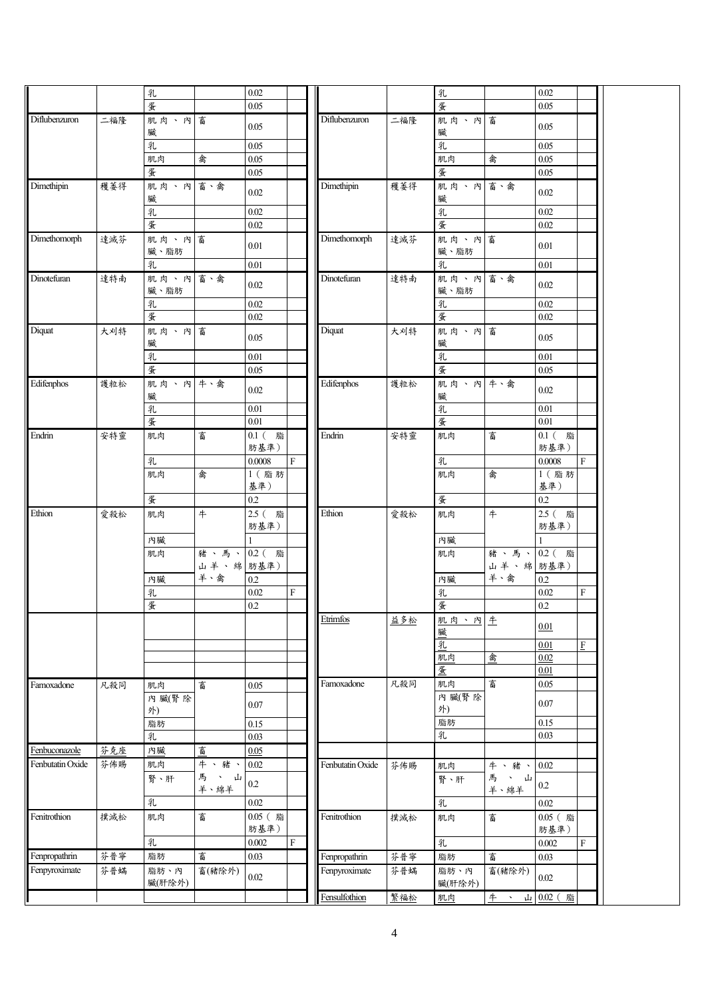|                  |     | 乳                |                         | 0.02              |             |                  |     | 乳                |                       | 0.02                       |                           |  |
|------------------|-----|------------------|-------------------------|-------------------|-------------|------------------|-----|------------------|-----------------------|----------------------------|---------------------------|--|
|                  |     | 蛋                |                         | 0.05              |             |                  |     | 蛋                |                       | 0.05                       |                           |  |
| Diflubenzuron    | 二福隆 | 肌肉、內畜<br>臟       |                         | 0.05              |             | Diflubenzuron    | 二福隆 | 肌肉、內畜<br>臟       |                       | 0.05                       |                           |  |
|                  |     | 乳                |                         | 0.05              |             |                  |     | 乳                |                       | 0.05                       |                           |  |
|                  |     | 肌肉               | 禽                       | 0.05              |             |                  |     | 肌肉               | 禽                     | 0.05                       |                           |  |
|                  |     | 蛋                |                         | 0.05              |             |                  |     | 蛋                |                       | 0.05                       |                           |  |
| Dimethipin       | 穫萎得 | 肌肉、內 畜、禽<br>臟    |                         | 0.02              |             | Dimethipin       | 穫萎得 | 肌肉、內 畜、禽<br>臟    |                       | $0.02\,$                   |                           |  |
|                  |     | 乳                |                         | 0.02              |             |                  |     | 乳                |                       | 0.02                       |                           |  |
|                  |     | 蛋                |                         | 0.02              |             |                  |     | 蛋                |                       | $0.02\,$                   |                           |  |
| Dimethomorph     | 達滅芬 | 肌肉、內畜<br>臟、脂肪    |                         | $0.01\,$          |             | Dimethomorph     | 達滅芬 | 肌肉、內畜<br>臟、脂肪    |                       | $0.01\,$                   |                           |  |
|                  |     | 乳                |                         | $0.01\,$          |             |                  |     | 乳                |                       | 0.01                       |                           |  |
| Dinotefuran      | 達特南 | 肌肉、內 畜、禽<br>臟、脂肪 |                         | $0.02\,$          |             | Dinotefuran      | 達特南 | 肌肉、內 畜、禽<br>臟、脂肪 |                       | $0.02\,$                   |                           |  |
|                  |     | 乳                |                         | $0.02\,$          |             |                  |     | 乳                |                       | 0.02                       |                           |  |
|                  |     | 蛋                |                         | $\overline{0.02}$ |             |                  |     | 蛋                |                       | 0.02                       |                           |  |
| Diquat           | 大刈特 | 肌肉、內畜<br>臟       |                         | 0.05              |             | Diquat           | 大刈特 | 肌肉、內畜<br>臟       |                       | 0.05                       |                           |  |
|                  |     | 乳                |                         | $0.01\,$          |             |                  |     | 乳                |                       | 0.01                       |                           |  |
|                  |     | 蛋                |                         | 0.05              |             |                  |     | 蛋                |                       | 0.05                       |                           |  |
| Edifenphos       | 護粒松 | 肌肉、內 牛、禽<br>臟    |                         | 0.02              |             | Edifenphos       | 護粒松 | 肌肉、內 牛、禽<br>臟    |                       | 0.02                       |                           |  |
|                  |     | 乳                |                         | $0.01\,$          |             |                  |     | 乳                |                       | $\overline{0.01}$          |                           |  |
|                  |     | 蛋                |                         | $0.01\,$          |             |                  |     | 蛋                |                       | $0.01\,$                   |                           |  |
| Endrin           | 安特靈 | 肌肉               | 畜                       | 0.1 (脂<br>肪基準)    |             | Endrin           | 安特靈 | 肌肉               | 畜                     | $\overline{0.1}$ 脂<br>肪基準) |                           |  |
|                  |     | 乳                |                         | 0.0008            | $\mathbf F$ |                  |     | 乳                |                       | 0.0008                     | $\boldsymbol{\mathrm{F}}$ |  |
|                  |     | 肌肉               | 禽                       | 1 (脂肪<br>基準)      |             |                  |     | 肌肉               | 禽                     | 1 (脂肪<br>基準)               |                           |  |
|                  |     | 蛋                |                         | 0.2               |             |                  |     | 蛋                |                       | $0.2\,$                    |                           |  |
| Ethion           | 愛殺松 | 肌肉               | #                       | 2.5 (脂<br>肪基準)    |             | Ethion           | 愛殺松 | 肌肉               | #                     | $2.5$ (脂<br>肪基準)           |                           |  |
|                  |     | 內臟               |                         |                   |             |                  |     | 內臟               |                       |                            |                           |  |
|                  |     | 肌肉               | 豬、馬、0.2 (脂<br>山羊、綿 肪基準) |                   |             |                  |     | 肌肉               | 豬、馬、02(脂<br>山羊、綿 肪基準) |                            |                           |  |
|                  |     | 內臟               | 羊、禽                     | 0.2               |             |                  |     | 內臟               | 羊、禽                   | 0.2                        |                           |  |
|                  |     | 乳                |                         | $0.02\,$          | $\rm F$     |                  |     | 乳                |                       | 0.02                       | $\rm F$                   |  |
|                  |     | 蛋                |                         | $0.2\,$           |             |                  |     | 蛋                |                       | $0.2\,$                    |                           |  |
|                  |     |                  |                         |                   |             | Etrimfos         | 益多松 | 肌肉、內生<br>臟       |                       | 0.01                       |                           |  |
|                  |     |                  |                         |                   |             |                  |     | 乳                |                       | $0.01\,$                   | $\boldsymbol{\mathrm{F}}$ |  |
|                  |     |                  |                         |                   |             |                  |     | 肌肉               | 盒                     | 0.02                       |                           |  |
|                  |     |                  |                         |                   |             |                  |     | 蛋                |                       | 0.01                       |                           |  |
| Famoxadone       | 凡殺同 | 肌肉               | 畜                       | 0.05              |             | Famoxadone       | 凡殺同 | 肌肉               | 畜                     | $0.05\,$                   |                           |  |
|                  |     | 內臟(腎除<br>外)      |                         | $0.07\,$          |             |                  |     | 內 臟(腎除<br>外)     |                       | $0.07\,$                   |                           |  |
|                  |     | 脂肪               |                         | $0.15\,$          |             |                  |     | 脂肪               |                       | 0.15                       |                           |  |
|                  |     | 乳                |                         | 0.03              |             |                  |     | 乳                |                       | 0.03                       |                           |  |
| Fenbuconazole    | 芬克座 | 內臟               | 畜                       | 0.05              |             |                  |     |                  |                       |                            |                           |  |
| Fenbutatin Oxide | 芬佈賜 | 肌肉               | 牛、豬、                    | $0.02\,$          |             | Fenbutatin Oxide | 芬佈賜 | 肌肉               | 牛、豬、                  | $0.02\,$                   |                           |  |
|                  |     | 腎、肝              | 馬<br>$\cdot$ 山<br>羊、綿羊  | $0.2\,$           |             |                  |     | 腎、肝              | 馬<br>、山<br>羊、綿羊       | $0.2\,$                    |                           |  |
|                  |     | 乳                |                         | $0.02\,$          |             |                  |     | 乳                |                       | 0.02                       |                           |  |
| Fenitrothion     | 撲滅松 | 肌肉               | 畜                       | 0.05 (脂<br>肪基準)   |             | Fenitrothion     | 撲滅松 | 肌肉               | 畜                     | 0.05 (脂<br>肪基準)            |                           |  |
|                  |     | 乳                |                         | 0.002             | $\mathbf F$ |                  |     | 乳                |                       | 0.002                      | F                         |  |
| Fenpropathrin    | 芬普寧 | 脂肪               | 畜                       | 0.03              |             | Fenpropathrin    | 芬普寧 | 脂肪               | 畜                     | 0.03                       |                           |  |
| Fenpyroximate    | 芬普蟎 | 脂肪、內<br>臟(肝除外)   | 畜(豬除外)                  | 0.02              |             | Fenpyroximate    | 芬普蟎 | 脂肪、內<br>臟(肝除外)   | 畜(豬除外)                | 0.02                       |                           |  |
|                  |     |                  |                         |                   |             | Fensulfothion    | 繁福松 | 肌肉               | #<br>$\Delta$         | 山 0.02 (脂                  |                           |  |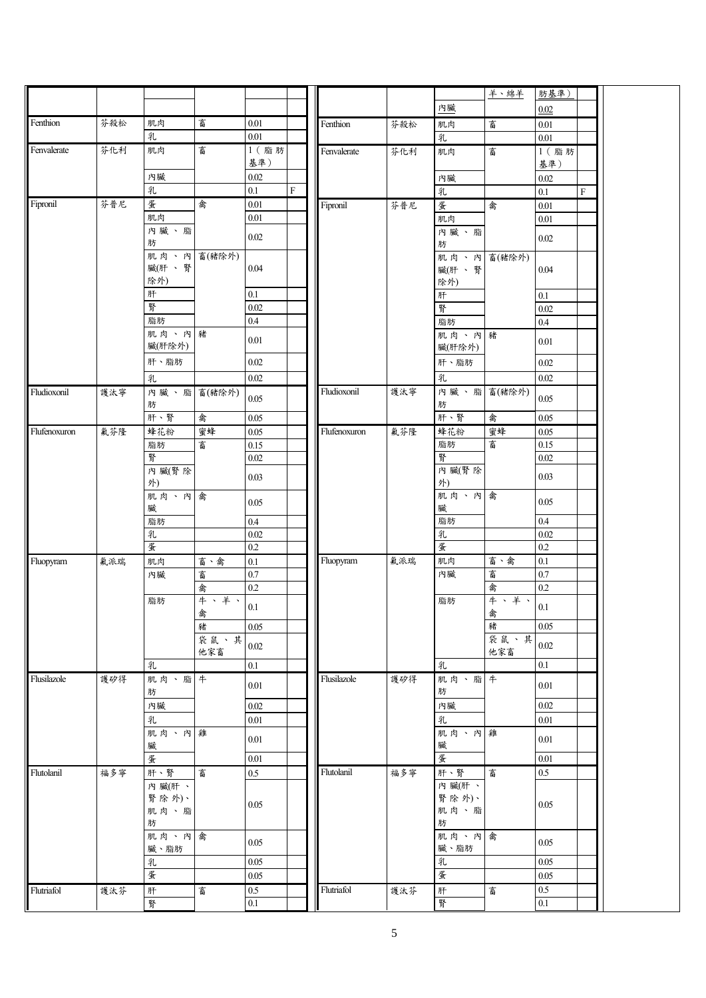|              |     |            |        |                |           |              |     |                      | 羊、綿羊 | 肪基準)             |         |  |
|--------------|-----|------------|--------|----------------|-----------|--------------|-----|----------------------|------|------------------|---------|--|
|              |     |            |        |                |           |              |     | 內臟                   |      | 0.02             |         |  |
| Fenthion     | 芬殺松 | 肌肉         | 畜      | $0.01\,$       |           | Fenthion     | 芬殺松 | 肌肉                   | 畜    | 0.01             |         |  |
|              |     | 乳          |        | $0.01\,$       |           |              |     | 乳                    |      | $0.01\,$         |         |  |
| Fenvalerate  | 芬化利 | 肌肉         | 畜      | 1 (脂肪          |           | Fenvalerate  | 芬化利 | 肌肉                   | 畜    | 1 (脂肪            |         |  |
|              |     |            |        | 基準)            |           |              |     |                      |      | 基準)              |         |  |
|              |     | 內臟         |        | $0.02\,$       |           |              |     | 內臟                   |      | $0.02\,$         |         |  |
|              |     | 乳          |        | 0.1            | ${\bf F}$ |              |     | 乳                    |      | $0.1\,$          | $\rm F$ |  |
| Fipronil     | 芬普尼 | 蛋          | 禽      | $0.01\,$       |           | Fipronil     | 芬普尼 | 蛋                    | 禽    | $0.01\,$         |         |  |
|              |     | 肌肉         |        | $0.01\,$       |           |              |     | 肌肉                   |      | 0.01             |         |  |
|              |     | 內臟、脂       |        | $0.02\,$       |           |              |     | 內臟、脂                 |      | 0.02             |         |  |
|              |     | 肪<br>肌肉、內  | 畜(豬除外) |                |           |              |     | 肪                    |      |                  |         |  |
|              |     | 臟(肝、腎      |        | 0.04           |           |              |     | 肌肉、內 畜(豬除外)<br>臟(肝、腎 |      | 0.04             |         |  |
|              |     | 除外)        |        |                |           |              |     | 除外)                  |      |                  |         |  |
|              |     | 肝          |        | $0.1\,$        |           |              |     | 肝                    |      | $0.1\,$          |         |  |
|              |     | 腎          |        | $0.02\,$       |           |              |     | 腎                    |      | 0.02             |         |  |
|              |     | 脂肪         |        | $0.4\,$        |           |              |     | 脂肪                   |      | $0.4\,$          |         |  |
|              |     | 肌肉、內豬      |        | 0.01           |           |              |     | 肌肉、內豬                |      | 0.01             |         |  |
|              |     | 臟(肝除外)     |        |                |           |              |     | 臟(肝除外)               |      |                  |         |  |
|              |     | 肝、脂肪       |        | $0.02\,$       |           |              |     | 肝、脂肪                 |      | 0.02             |         |  |
|              |     | 乳          |        | $0.02\,$       |           |              |     | 乳                    |      | 0.02             |         |  |
| Fludioxonil  | 護汰寧 | 內臟、脂畜(豬除外) |        | $0.05\,$       |           | Fludioxonil  | 護汰寧 | 內臟、脂畜(豬除外)           |      | 0.05             |         |  |
|              |     | 肪          |        |                |           |              |     | 肪                    |      |                  |         |  |
|              |     | 肝、腎        | 禽      | $0.05\,$       |           |              |     | 肝、腎                  | 禽    | 0.05             |         |  |
| Flufenoxuron | 氟芬隆 | 蜂花粉        | 蜜蜂     | 0.05           |           | Flufenoxuron | 氟芬隆 | 蜂花粉                  | 蜜蜂   | 0.05             |         |  |
|              |     | 脂肪<br>腎    | 畜      | 0.15           |           |              |     | 脂肪<br>腎              | 畜    | 0.15<br>$0.02\,$ |         |  |
|              |     | 內臟(腎除      |        | $0.02\,$       |           |              |     | 內臟(腎除                |      |                  |         |  |
|              |     | 外)         |        | 0.03           |           |              |     | 外)                   |      | 0.03             |         |  |
|              |     | 肌肉、內禽      |        | $0.05\,$       |           |              |     | 肌肉、內禽                |      | 0.05             |         |  |
|              |     | 臟          |        |                |           |              |     | 臟                    |      |                  |         |  |
|              |     | 脂肪         |        | 0.4            |           |              |     | 脂肪                   |      | $0.4\,$          |         |  |
|              |     | 乳<br>蛋     |        | $0.02\,$       |           |              |     | 乳<br>蛋               |      | 0.02             |         |  |
|              |     |            | 畜、禽    | 0.2            |           | Fluopyram    | 氟派瑞 | 肌肉                   | 畜、禽  | 0.2<br>0.1       |         |  |
| Fluopyram    | 氟派瑞 | 肌肉<br>內臟   | 畜      | $0.1\,$<br>0.7 |           |              |     | 內臟                   | 畜    | 0.7              |         |  |
|              |     |            | 禽      | 0.2            |           |              |     |                      | 禽    | 0.2              |         |  |
|              |     | 脂肪         | 牛、羊、   |                |           |              |     | 脂肪                   | 牛、羊、 |                  |         |  |
|              |     |            | 禽      | $0.1\,$        |           |              |     |                      | 禽    | $0.1\,$          |         |  |
|              |     |            | 豬      | $0.05\,$       |           |              |     |                      | 豬    | 0.05             |         |  |
|              |     |            | 袋鼠、其   | 0.02           |           |              |     |                      | 袋鼠、其 | 0.02             |         |  |
|              |     |            | 他家畜    |                |           |              |     |                      | 他家畜  |                  |         |  |
|              |     | 乳          |        | $0.1\,$        |           |              |     | 乳                    |      | $0.1\,$          |         |  |
| Flusilazole  | 護矽得 | 肌肉、脂牛<br>肪 |        | 0.01           |           | Flusilazole  | 護矽得 | 肌肉、脂牛<br>肪           |      | $0.01\,$         |         |  |
|              |     | 內臟         |        | 0.02           |           |              |     | 內臟                   |      | 0.02             |         |  |
|              |     | 乳          |        | 0.01           |           |              |     | 乳                    |      | 0.01             |         |  |
|              |     | 肌肉、內雞      |        |                |           |              |     | 肌肉、內雞                |      |                  |         |  |
|              |     | 臟          |        | 0.01           |           |              |     | 臟                    |      | 0.01             |         |  |
|              |     | 蛋          |        | $0.01\,$       |           |              |     | 蛋                    |      | $0.01\,$         |         |  |
| Flutolanil   | 福多寧 | 肝、腎        | 畜      | $0.5\,$        |           | Flutolanil   | 福多寧 | 肝、腎                  | 畜    | $0.5\,$          |         |  |
|              |     | 內臟(肝、      |        |                |           |              |     | 內臟(肝、                |      |                  |         |  |
|              |     | 腎除外)、      |        | 0.05           |           |              |     | 腎除外)、<br>肌肉、脂        |      | 0.05             |         |  |
|              |     | 肌肉、脂<br>肪  |        |                |           |              |     | 肪                    |      |                  |         |  |
|              |     | 肌肉、內禽      |        |                |           |              |     | 肌肉、內禽                |      |                  |         |  |
|              |     | 臟、脂肪       |        | 0.05           |           |              |     | 臟、脂肪                 |      | 0.05             |         |  |
|              |     | 乳          |        | $0.05\,$       |           |              |     | 乳                    |      | 0.05             |         |  |
|              |     | 蛋          |        | $0.05\,$       |           |              |     | 蛋                    |      | 0.05             |         |  |
| Flutriafol   | 護汰芬 | 肝          | 畜      | $0.5\,$        |           | Flutriafol   | 護汰芬 | 肝                    | 畜    | $0.5\,$          |         |  |
|              |     | 腎          |        | 0.1            |           |              |     | 腎                    |      | $0.1\,$          |         |  |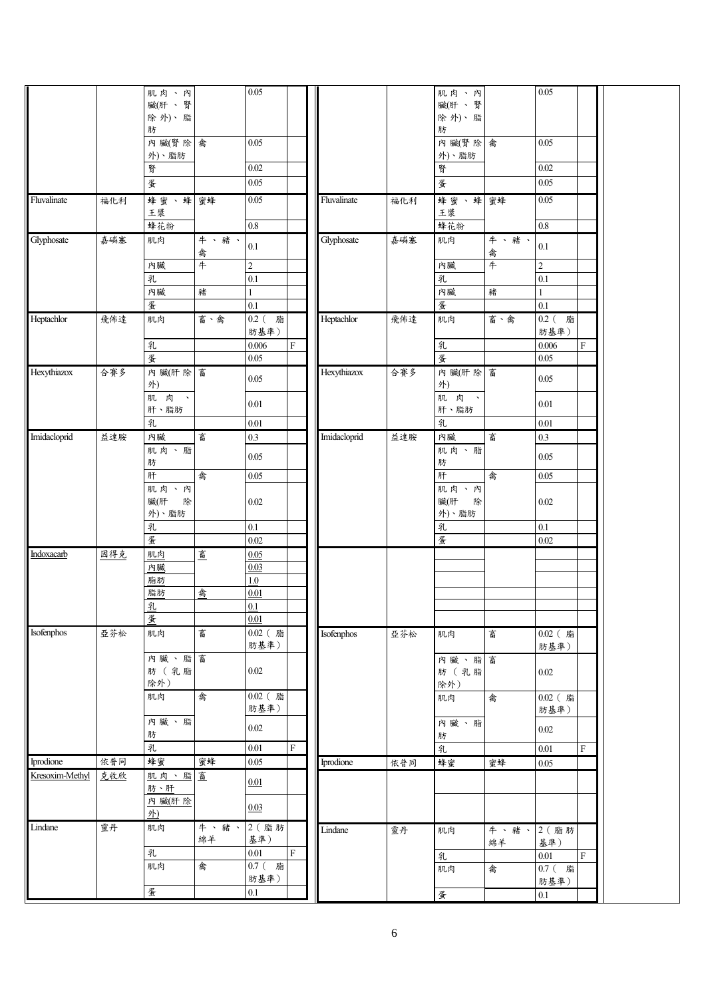| 臟(肝、腎<br>臟(肝、腎<br>除外)、脂<br>除外)、脂<br>肪<br>肪<br>內臟(腎除 禽<br>0.05<br>內臟(腎除 禽<br>0.05<br>外)、脂肪<br>外)、脂肪<br>0.02<br>0.02<br>腎<br>腎<br>蛋<br>蛋<br>0.05<br>$0.05\,$<br>蜂蜜、蜂蜜蜂<br>蜂蜜、蜂 蜜蜂<br>Fluvalinate<br>0.05<br>Fluvalinate<br>$0.05\,$<br>福化利<br>福化利<br>王漿<br>王漿<br>$0.8\,$<br>$0.8\,$<br>蜂花粉<br>蜂花粉<br>Glyphosate<br>嘉磷塞<br>牛、豬、<br>Glyphosate<br>嘉磷塞<br>牛、豬、<br>肌肉<br>肌肉<br>$0.1\,$<br>$0.1\,$<br>禽<br>禽<br>#<br>$\overline{\overline{4}}$<br>$\overline{c}$<br>內臟<br>$\overline{2}$<br>內臟<br>乳<br>乳<br>0.1<br>0.1<br>內臟<br>內臟<br>豬<br>豬<br>$\mathbf{1}$<br>蛋<br>$0.1\,$<br>蛋<br>$0.1\,$<br>Heptachlor<br>Heptachlor<br>$0.2$ (脂<br>飛佈達<br>畜、禽<br>0.2 (脂<br>飛佈達<br>畜、禽<br>肌肉<br>肌肉<br>肪基準)<br>肪基準)<br>乳<br>${\bf F}$<br>乳<br>0.006<br>$\boldsymbol{\mathrm{F}}$<br>0.006<br>蛋<br>蛋<br>0.05<br>0.05<br>內臟(肝除富<br>Hexythiazox<br>合賽多<br>合賽多<br>內 臟(肝 除<br>畜<br>Hexythiazox<br>0.05<br>0.05<br>外)<br>外)<br>肌肉、<br>肌 肉 、<br>$0.01\,$<br>0.01<br>肝、脂肪<br>肝、脂肪<br>乳<br>乳<br>$0.01\,$<br>$0.01\,$<br>Imidacloprid<br>畜<br>畜<br>益達胺<br>內臟<br>$0.3\,$<br>Imidacloprid<br>益達胺<br>內臟<br>$0.3\,$<br>肌肉、脂<br>肌肉、脂<br>0.05<br>0.05<br>肪<br>肪<br>禽<br>肝<br>禽<br>肝<br>0.05<br>0.05<br>肌肉、內<br>肌肉、內<br>臟(肝<br>除<br>臟(肝<br>$0.02\,$<br>除<br>$0.02\,$<br>外)、脂肪<br>外)、脂肪<br>$0.1\,$<br>乳<br>$0.1\,$<br>乳<br>蛋<br>蛋<br>$0.02\,$<br>$0.02\,$<br>Indoxacarb<br>肌肉<br>畜<br>因得克<br>0.05<br>內臟<br>0.03<br>脂肪<br>1.0<br>禽<br>0.01<br>脂肪<br>乳<br>0.1<br>蛋<br>0.01<br>Isofenphos<br>亞芬松<br>畜<br>$0.02$ (脂<br>肌肉<br>0.02 (脂<br>Isofenphos<br>亞芬松<br>畜<br>肌肉<br>肪基準)<br>肪基準)<br>內臟、脂畜<br>內臟、脂<br>畜<br>肪 (乳脂<br>0.02<br>肪 (乳脂<br>0.02<br>除外)<br>除外)<br>禽<br>$0.02$ (脂<br>肌肉<br>0.02 (脂<br>禽<br>肌肉<br>肪基準)<br>肪基準)<br>內臟、脂<br>內臟、脂<br>$0.02\,$<br>$0.02\,$<br>肪<br>肪<br>乳<br>${\bf F}$<br>$0.01\,$<br>乳<br>$0.01\,$<br>F<br>Iprodione<br>依普同<br>蜂蜜<br>蜜蜂<br>0.05<br>依普同<br>Iprodione<br>蜂蜜<br>蜜蜂<br>$0.05\,$<br>Kresoxim-Methyl<br>肌肉、脂畜<br>克收欣<br>0.01<br>肪、肝<br>內臟(肝除<br>0.03<br>外)<br>Lindane<br>靈丹<br>牛、豬、<br>2 (脂肪<br>肌肉<br>Lindane<br>靈丹<br>牛、豬、<br>2 (脂肪<br>肌肉<br>基準)<br>綿羊<br>綿羊<br>基準)<br>${\bf F}$<br>乳<br>0.01<br>乳<br>$0.01\,$<br>$\mathbf{F}$<br>禽<br>0.7 (脂<br>肌肉<br>0.7 (脂<br>肌肉<br>禽<br>肪基準)<br>肪基準)<br>蛋<br>$0.1\,$<br>蛋<br>$0.1\,$ |  | 肌肉、內 | 0.05 |  |  | 肌肉、內 | 0.05 |  |
|------------------------------------------------------------------------------------------------------------------------------------------------------------------------------------------------------------------------------------------------------------------------------------------------------------------------------------------------------------------------------------------------------------------------------------------------------------------------------------------------------------------------------------------------------------------------------------------------------------------------------------------------------------------------------------------------------------------------------------------------------------------------------------------------------------------------------------------------------------------------------------------------------------------------------------------------------------------------------------------------------------------------------------------------------------------------------------------------------------------------------------------------------------------------------------------------------------------------------------------------------------------------------------------------------------------------------------------------------------------------------------------------------------------------------------------------------------------------------------------------------------------------------------------------------------------------------------------------------------------------------------------------------------------------------------------------------------------------------------------------------------------------------------------------------------------------------------------------------------------------------------------------------------------------------------------------------------------------------------------------------------------------------------------------------------------------------------------------------------------------------------------------------------------------------------------------------------------|--|------|------|--|--|------|------|--|
|                                                                                                                                                                                                                                                                                                                                                                                                                                                                                                                                                                                                                                                                                                                                                                                                                                                                                                                                                                                                                                                                                                                                                                                                                                                                                                                                                                                                                                                                                                                                                                                                                                                                                                                                                                                                                                                                                                                                                                                                                                                                                                                                                                                                                  |  |      |      |  |  |      |      |  |
|                                                                                                                                                                                                                                                                                                                                                                                                                                                                                                                                                                                                                                                                                                                                                                                                                                                                                                                                                                                                                                                                                                                                                                                                                                                                                                                                                                                                                                                                                                                                                                                                                                                                                                                                                                                                                                                                                                                                                                                                                                                                                                                                                                                                                  |  |      |      |  |  |      |      |  |
|                                                                                                                                                                                                                                                                                                                                                                                                                                                                                                                                                                                                                                                                                                                                                                                                                                                                                                                                                                                                                                                                                                                                                                                                                                                                                                                                                                                                                                                                                                                                                                                                                                                                                                                                                                                                                                                                                                                                                                                                                                                                                                                                                                                                                  |  |      |      |  |  |      |      |  |
|                                                                                                                                                                                                                                                                                                                                                                                                                                                                                                                                                                                                                                                                                                                                                                                                                                                                                                                                                                                                                                                                                                                                                                                                                                                                                                                                                                                                                                                                                                                                                                                                                                                                                                                                                                                                                                                                                                                                                                                                                                                                                                                                                                                                                  |  |      |      |  |  |      |      |  |
|                                                                                                                                                                                                                                                                                                                                                                                                                                                                                                                                                                                                                                                                                                                                                                                                                                                                                                                                                                                                                                                                                                                                                                                                                                                                                                                                                                                                                                                                                                                                                                                                                                                                                                                                                                                                                                                                                                                                                                                                                                                                                                                                                                                                                  |  |      |      |  |  |      |      |  |
|                                                                                                                                                                                                                                                                                                                                                                                                                                                                                                                                                                                                                                                                                                                                                                                                                                                                                                                                                                                                                                                                                                                                                                                                                                                                                                                                                                                                                                                                                                                                                                                                                                                                                                                                                                                                                                                                                                                                                                                                                                                                                                                                                                                                                  |  |      |      |  |  |      |      |  |
|                                                                                                                                                                                                                                                                                                                                                                                                                                                                                                                                                                                                                                                                                                                                                                                                                                                                                                                                                                                                                                                                                                                                                                                                                                                                                                                                                                                                                                                                                                                                                                                                                                                                                                                                                                                                                                                                                                                                                                                                                                                                                                                                                                                                                  |  |      |      |  |  |      |      |  |
|                                                                                                                                                                                                                                                                                                                                                                                                                                                                                                                                                                                                                                                                                                                                                                                                                                                                                                                                                                                                                                                                                                                                                                                                                                                                                                                                                                                                                                                                                                                                                                                                                                                                                                                                                                                                                                                                                                                                                                                                                                                                                                                                                                                                                  |  |      |      |  |  |      |      |  |
|                                                                                                                                                                                                                                                                                                                                                                                                                                                                                                                                                                                                                                                                                                                                                                                                                                                                                                                                                                                                                                                                                                                                                                                                                                                                                                                                                                                                                                                                                                                                                                                                                                                                                                                                                                                                                                                                                                                                                                                                                                                                                                                                                                                                                  |  |      |      |  |  |      |      |  |
|                                                                                                                                                                                                                                                                                                                                                                                                                                                                                                                                                                                                                                                                                                                                                                                                                                                                                                                                                                                                                                                                                                                                                                                                                                                                                                                                                                                                                                                                                                                                                                                                                                                                                                                                                                                                                                                                                                                                                                                                                                                                                                                                                                                                                  |  |      |      |  |  |      |      |  |
|                                                                                                                                                                                                                                                                                                                                                                                                                                                                                                                                                                                                                                                                                                                                                                                                                                                                                                                                                                                                                                                                                                                                                                                                                                                                                                                                                                                                                                                                                                                                                                                                                                                                                                                                                                                                                                                                                                                                                                                                                                                                                                                                                                                                                  |  |      |      |  |  |      |      |  |
|                                                                                                                                                                                                                                                                                                                                                                                                                                                                                                                                                                                                                                                                                                                                                                                                                                                                                                                                                                                                                                                                                                                                                                                                                                                                                                                                                                                                                                                                                                                                                                                                                                                                                                                                                                                                                                                                                                                                                                                                                                                                                                                                                                                                                  |  |      |      |  |  |      |      |  |
|                                                                                                                                                                                                                                                                                                                                                                                                                                                                                                                                                                                                                                                                                                                                                                                                                                                                                                                                                                                                                                                                                                                                                                                                                                                                                                                                                                                                                                                                                                                                                                                                                                                                                                                                                                                                                                                                                                                                                                                                                                                                                                                                                                                                                  |  |      |      |  |  |      |      |  |
|                                                                                                                                                                                                                                                                                                                                                                                                                                                                                                                                                                                                                                                                                                                                                                                                                                                                                                                                                                                                                                                                                                                                                                                                                                                                                                                                                                                                                                                                                                                                                                                                                                                                                                                                                                                                                                                                                                                                                                                                                                                                                                                                                                                                                  |  |      |      |  |  |      |      |  |
|                                                                                                                                                                                                                                                                                                                                                                                                                                                                                                                                                                                                                                                                                                                                                                                                                                                                                                                                                                                                                                                                                                                                                                                                                                                                                                                                                                                                                                                                                                                                                                                                                                                                                                                                                                                                                                                                                                                                                                                                                                                                                                                                                                                                                  |  |      |      |  |  |      |      |  |
|                                                                                                                                                                                                                                                                                                                                                                                                                                                                                                                                                                                                                                                                                                                                                                                                                                                                                                                                                                                                                                                                                                                                                                                                                                                                                                                                                                                                                                                                                                                                                                                                                                                                                                                                                                                                                                                                                                                                                                                                                                                                                                                                                                                                                  |  |      |      |  |  |      |      |  |
|                                                                                                                                                                                                                                                                                                                                                                                                                                                                                                                                                                                                                                                                                                                                                                                                                                                                                                                                                                                                                                                                                                                                                                                                                                                                                                                                                                                                                                                                                                                                                                                                                                                                                                                                                                                                                                                                                                                                                                                                                                                                                                                                                                                                                  |  |      |      |  |  |      |      |  |
|                                                                                                                                                                                                                                                                                                                                                                                                                                                                                                                                                                                                                                                                                                                                                                                                                                                                                                                                                                                                                                                                                                                                                                                                                                                                                                                                                                                                                                                                                                                                                                                                                                                                                                                                                                                                                                                                                                                                                                                                                                                                                                                                                                                                                  |  |      |      |  |  |      |      |  |
|                                                                                                                                                                                                                                                                                                                                                                                                                                                                                                                                                                                                                                                                                                                                                                                                                                                                                                                                                                                                                                                                                                                                                                                                                                                                                                                                                                                                                                                                                                                                                                                                                                                                                                                                                                                                                                                                                                                                                                                                                                                                                                                                                                                                                  |  |      |      |  |  |      |      |  |
|                                                                                                                                                                                                                                                                                                                                                                                                                                                                                                                                                                                                                                                                                                                                                                                                                                                                                                                                                                                                                                                                                                                                                                                                                                                                                                                                                                                                                                                                                                                                                                                                                                                                                                                                                                                                                                                                                                                                                                                                                                                                                                                                                                                                                  |  |      |      |  |  |      |      |  |
|                                                                                                                                                                                                                                                                                                                                                                                                                                                                                                                                                                                                                                                                                                                                                                                                                                                                                                                                                                                                                                                                                                                                                                                                                                                                                                                                                                                                                                                                                                                                                                                                                                                                                                                                                                                                                                                                                                                                                                                                                                                                                                                                                                                                                  |  |      |      |  |  |      |      |  |
|                                                                                                                                                                                                                                                                                                                                                                                                                                                                                                                                                                                                                                                                                                                                                                                                                                                                                                                                                                                                                                                                                                                                                                                                                                                                                                                                                                                                                                                                                                                                                                                                                                                                                                                                                                                                                                                                                                                                                                                                                                                                                                                                                                                                                  |  |      |      |  |  |      |      |  |
|                                                                                                                                                                                                                                                                                                                                                                                                                                                                                                                                                                                                                                                                                                                                                                                                                                                                                                                                                                                                                                                                                                                                                                                                                                                                                                                                                                                                                                                                                                                                                                                                                                                                                                                                                                                                                                                                                                                                                                                                                                                                                                                                                                                                                  |  |      |      |  |  |      |      |  |
|                                                                                                                                                                                                                                                                                                                                                                                                                                                                                                                                                                                                                                                                                                                                                                                                                                                                                                                                                                                                                                                                                                                                                                                                                                                                                                                                                                                                                                                                                                                                                                                                                                                                                                                                                                                                                                                                                                                                                                                                                                                                                                                                                                                                                  |  |      |      |  |  |      |      |  |
|                                                                                                                                                                                                                                                                                                                                                                                                                                                                                                                                                                                                                                                                                                                                                                                                                                                                                                                                                                                                                                                                                                                                                                                                                                                                                                                                                                                                                                                                                                                                                                                                                                                                                                                                                                                                                                                                                                                                                                                                                                                                                                                                                                                                                  |  |      |      |  |  |      |      |  |
|                                                                                                                                                                                                                                                                                                                                                                                                                                                                                                                                                                                                                                                                                                                                                                                                                                                                                                                                                                                                                                                                                                                                                                                                                                                                                                                                                                                                                                                                                                                                                                                                                                                                                                                                                                                                                                                                                                                                                                                                                                                                                                                                                                                                                  |  |      |      |  |  |      |      |  |
|                                                                                                                                                                                                                                                                                                                                                                                                                                                                                                                                                                                                                                                                                                                                                                                                                                                                                                                                                                                                                                                                                                                                                                                                                                                                                                                                                                                                                                                                                                                                                                                                                                                                                                                                                                                                                                                                                                                                                                                                                                                                                                                                                                                                                  |  |      |      |  |  |      |      |  |
|                                                                                                                                                                                                                                                                                                                                                                                                                                                                                                                                                                                                                                                                                                                                                                                                                                                                                                                                                                                                                                                                                                                                                                                                                                                                                                                                                                                                                                                                                                                                                                                                                                                                                                                                                                                                                                                                                                                                                                                                                                                                                                                                                                                                                  |  |      |      |  |  |      |      |  |
|                                                                                                                                                                                                                                                                                                                                                                                                                                                                                                                                                                                                                                                                                                                                                                                                                                                                                                                                                                                                                                                                                                                                                                                                                                                                                                                                                                                                                                                                                                                                                                                                                                                                                                                                                                                                                                                                                                                                                                                                                                                                                                                                                                                                                  |  |      |      |  |  |      |      |  |
|                                                                                                                                                                                                                                                                                                                                                                                                                                                                                                                                                                                                                                                                                                                                                                                                                                                                                                                                                                                                                                                                                                                                                                                                                                                                                                                                                                                                                                                                                                                                                                                                                                                                                                                                                                                                                                                                                                                                                                                                                                                                                                                                                                                                                  |  |      |      |  |  |      |      |  |
|                                                                                                                                                                                                                                                                                                                                                                                                                                                                                                                                                                                                                                                                                                                                                                                                                                                                                                                                                                                                                                                                                                                                                                                                                                                                                                                                                                                                                                                                                                                                                                                                                                                                                                                                                                                                                                                                                                                                                                                                                                                                                                                                                                                                                  |  |      |      |  |  |      |      |  |
|                                                                                                                                                                                                                                                                                                                                                                                                                                                                                                                                                                                                                                                                                                                                                                                                                                                                                                                                                                                                                                                                                                                                                                                                                                                                                                                                                                                                                                                                                                                                                                                                                                                                                                                                                                                                                                                                                                                                                                                                                                                                                                                                                                                                                  |  |      |      |  |  |      |      |  |
|                                                                                                                                                                                                                                                                                                                                                                                                                                                                                                                                                                                                                                                                                                                                                                                                                                                                                                                                                                                                                                                                                                                                                                                                                                                                                                                                                                                                                                                                                                                                                                                                                                                                                                                                                                                                                                                                                                                                                                                                                                                                                                                                                                                                                  |  |      |      |  |  |      |      |  |
|                                                                                                                                                                                                                                                                                                                                                                                                                                                                                                                                                                                                                                                                                                                                                                                                                                                                                                                                                                                                                                                                                                                                                                                                                                                                                                                                                                                                                                                                                                                                                                                                                                                                                                                                                                                                                                                                                                                                                                                                                                                                                                                                                                                                                  |  |      |      |  |  |      |      |  |
|                                                                                                                                                                                                                                                                                                                                                                                                                                                                                                                                                                                                                                                                                                                                                                                                                                                                                                                                                                                                                                                                                                                                                                                                                                                                                                                                                                                                                                                                                                                                                                                                                                                                                                                                                                                                                                                                                                                                                                                                                                                                                                                                                                                                                  |  |      |      |  |  |      |      |  |
|                                                                                                                                                                                                                                                                                                                                                                                                                                                                                                                                                                                                                                                                                                                                                                                                                                                                                                                                                                                                                                                                                                                                                                                                                                                                                                                                                                                                                                                                                                                                                                                                                                                                                                                                                                                                                                                                                                                                                                                                                                                                                                                                                                                                                  |  |      |      |  |  |      |      |  |
|                                                                                                                                                                                                                                                                                                                                                                                                                                                                                                                                                                                                                                                                                                                                                                                                                                                                                                                                                                                                                                                                                                                                                                                                                                                                                                                                                                                                                                                                                                                                                                                                                                                                                                                                                                                                                                                                                                                                                                                                                                                                                                                                                                                                                  |  |      |      |  |  |      |      |  |
|                                                                                                                                                                                                                                                                                                                                                                                                                                                                                                                                                                                                                                                                                                                                                                                                                                                                                                                                                                                                                                                                                                                                                                                                                                                                                                                                                                                                                                                                                                                                                                                                                                                                                                                                                                                                                                                                                                                                                                                                                                                                                                                                                                                                                  |  |      |      |  |  |      |      |  |
|                                                                                                                                                                                                                                                                                                                                                                                                                                                                                                                                                                                                                                                                                                                                                                                                                                                                                                                                                                                                                                                                                                                                                                                                                                                                                                                                                                                                                                                                                                                                                                                                                                                                                                                                                                                                                                                                                                                                                                                                                                                                                                                                                                                                                  |  |      |      |  |  |      |      |  |
|                                                                                                                                                                                                                                                                                                                                                                                                                                                                                                                                                                                                                                                                                                                                                                                                                                                                                                                                                                                                                                                                                                                                                                                                                                                                                                                                                                                                                                                                                                                                                                                                                                                                                                                                                                                                                                                                                                                                                                                                                                                                                                                                                                                                                  |  |      |      |  |  |      |      |  |
|                                                                                                                                                                                                                                                                                                                                                                                                                                                                                                                                                                                                                                                                                                                                                                                                                                                                                                                                                                                                                                                                                                                                                                                                                                                                                                                                                                                                                                                                                                                                                                                                                                                                                                                                                                                                                                                                                                                                                                                                                                                                                                                                                                                                                  |  |      |      |  |  |      |      |  |
|                                                                                                                                                                                                                                                                                                                                                                                                                                                                                                                                                                                                                                                                                                                                                                                                                                                                                                                                                                                                                                                                                                                                                                                                                                                                                                                                                                                                                                                                                                                                                                                                                                                                                                                                                                                                                                                                                                                                                                                                                                                                                                                                                                                                                  |  |      |      |  |  |      |      |  |
|                                                                                                                                                                                                                                                                                                                                                                                                                                                                                                                                                                                                                                                                                                                                                                                                                                                                                                                                                                                                                                                                                                                                                                                                                                                                                                                                                                                                                                                                                                                                                                                                                                                                                                                                                                                                                                                                                                                                                                                                                                                                                                                                                                                                                  |  |      |      |  |  |      |      |  |
|                                                                                                                                                                                                                                                                                                                                                                                                                                                                                                                                                                                                                                                                                                                                                                                                                                                                                                                                                                                                                                                                                                                                                                                                                                                                                                                                                                                                                                                                                                                                                                                                                                                                                                                                                                                                                                                                                                                                                                                                                                                                                                                                                                                                                  |  |      |      |  |  |      |      |  |
|                                                                                                                                                                                                                                                                                                                                                                                                                                                                                                                                                                                                                                                                                                                                                                                                                                                                                                                                                                                                                                                                                                                                                                                                                                                                                                                                                                                                                                                                                                                                                                                                                                                                                                                                                                                                                                                                                                                                                                                                                                                                                                                                                                                                                  |  |      |      |  |  |      |      |  |
|                                                                                                                                                                                                                                                                                                                                                                                                                                                                                                                                                                                                                                                                                                                                                                                                                                                                                                                                                                                                                                                                                                                                                                                                                                                                                                                                                                                                                                                                                                                                                                                                                                                                                                                                                                                                                                                                                                                                                                                                                                                                                                                                                                                                                  |  |      |      |  |  |      |      |  |
|                                                                                                                                                                                                                                                                                                                                                                                                                                                                                                                                                                                                                                                                                                                                                                                                                                                                                                                                                                                                                                                                                                                                                                                                                                                                                                                                                                                                                                                                                                                                                                                                                                                                                                                                                                                                                                                                                                                                                                                                                                                                                                                                                                                                                  |  |      |      |  |  |      |      |  |
|                                                                                                                                                                                                                                                                                                                                                                                                                                                                                                                                                                                                                                                                                                                                                                                                                                                                                                                                                                                                                                                                                                                                                                                                                                                                                                                                                                                                                                                                                                                                                                                                                                                                                                                                                                                                                                                                                                                                                                                                                                                                                                                                                                                                                  |  |      |      |  |  |      |      |  |
|                                                                                                                                                                                                                                                                                                                                                                                                                                                                                                                                                                                                                                                                                                                                                                                                                                                                                                                                                                                                                                                                                                                                                                                                                                                                                                                                                                                                                                                                                                                                                                                                                                                                                                                                                                                                                                                                                                                                                                                                                                                                                                                                                                                                                  |  |      |      |  |  |      |      |  |
|                                                                                                                                                                                                                                                                                                                                                                                                                                                                                                                                                                                                                                                                                                                                                                                                                                                                                                                                                                                                                                                                                                                                                                                                                                                                                                                                                                                                                                                                                                                                                                                                                                                                                                                                                                                                                                                                                                                                                                                                                                                                                                                                                                                                                  |  |      |      |  |  |      |      |  |
|                                                                                                                                                                                                                                                                                                                                                                                                                                                                                                                                                                                                                                                                                                                                                                                                                                                                                                                                                                                                                                                                                                                                                                                                                                                                                                                                                                                                                                                                                                                                                                                                                                                                                                                                                                                                                                                                                                                                                                                                                                                                                                                                                                                                                  |  |      |      |  |  |      |      |  |
|                                                                                                                                                                                                                                                                                                                                                                                                                                                                                                                                                                                                                                                                                                                                                                                                                                                                                                                                                                                                                                                                                                                                                                                                                                                                                                                                                                                                                                                                                                                                                                                                                                                                                                                                                                                                                                                                                                                                                                                                                                                                                                                                                                                                                  |  |      |      |  |  |      |      |  |
|                                                                                                                                                                                                                                                                                                                                                                                                                                                                                                                                                                                                                                                                                                                                                                                                                                                                                                                                                                                                                                                                                                                                                                                                                                                                                                                                                                                                                                                                                                                                                                                                                                                                                                                                                                                                                                                                                                                                                                                                                                                                                                                                                                                                                  |  |      |      |  |  |      |      |  |
|                                                                                                                                                                                                                                                                                                                                                                                                                                                                                                                                                                                                                                                                                                                                                                                                                                                                                                                                                                                                                                                                                                                                                                                                                                                                                                                                                                                                                                                                                                                                                                                                                                                                                                                                                                                                                                                                                                                                                                                                                                                                                                                                                                                                                  |  |      |      |  |  |      |      |  |
|                                                                                                                                                                                                                                                                                                                                                                                                                                                                                                                                                                                                                                                                                                                                                                                                                                                                                                                                                                                                                                                                                                                                                                                                                                                                                                                                                                                                                                                                                                                                                                                                                                                                                                                                                                                                                                                                                                                                                                                                                                                                                                                                                                                                                  |  |      |      |  |  |      |      |  |
|                                                                                                                                                                                                                                                                                                                                                                                                                                                                                                                                                                                                                                                                                                                                                                                                                                                                                                                                                                                                                                                                                                                                                                                                                                                                                                                                                                                                                                                                                                                                                                                                                                                                                                                                                                                                                                                                                                                                                                                                                                                                                                                                                                                                                  |  |      |      |  |  |      |      |  |
|                                                                                                                                                                                                                                                                                                                                                                                                                                                                                                                                                                                                                                                                                                                                                                                                                                                                                                                                                                                                                                                                                                                                                                                                                                                                                                                                                                                                                                                                                                                                                                                                                                                                                                                                                                                                                                                                                                                                                                                                                                                                                                                                                                                                                  |  |      |      |  |  |      |      |  |
|                                                                                                                                                                                                                                                                                                                                                                                                                                                                                                                                                                                                                                                                                                                                                                                                                                                                                                                                                                                                                                                                                                                                                                                                                                                                                                                                                                                                                                                                                                                                                                                                                                                                                                                                                                                                                                                                                                                                                                                                                                                                                                                                                                                                                  |  |      |      |  |  |      |      |  |
|                                                                                                                                                                                                                                                                                                                                                                                                                                                                                                                                                                                                                                                                                                                                                                                                                                                                                                                                                                                                                                                                                                                                                                                                                                                                                                                                                                                                                                                                                                                                                                                                                                                                                                                                                                                                                                                                                                                                                                                                                                                                                                                                                                                                                  |  |      |      |  |  |      |      |  |
|                                                                                                                                                                                                                                                                                                                                                                                                                                                                                                                                                                                                                                                                                                                                                                                                                                                                                                                                                                                                                                                                                                                                                                                                                                                                                                                                                                                                                                                                                                                                                                                                                                                                                                                                                                                                                                                                                                                                                                                                                                                                                                                                                                                                                  |  |      |      |  |  |      |      |  |
|                                                                                                                                                                                                                                                                                                                                                                                                                                                                                                                                                                                                                                                                                                                                                                                                                                                                                                                                                                                                                                                                                                                                                                                                                                                                                                                                                                                                                                                                                                                                                                                                                                                                                                                                                                                                                                                                                                                                                                                                                                                                                                                                                                                                                  |  |      |      |  |  |      |      |  |
|                                                                                                                                                                                                                                                                                                                                                                                                                                                                                                                                                                                                                                                                                                                                                                                                                                                                                                                                                                                                                                                                                                                                                                                                                                                                                                                                                                                                                                                                                                                                                                                                                                                                                                                                                                                                                                                                                                                                                                                                                                                                                                                                                                                                                  |  |      |      |  |  |      |      |  |
|                                                                                                                                                                                                                                                                                                                                                                                                                                                                                                                                                                                                                                                                                                                                                                                                                                                                                                                                                                                                                                                                                                                                                                                                                                                                                                                                                                                                                                                                                                                                                                                                                                                                                                                                                                                                                                                                                                                                                                                                                                                                                                                                                                                                                  |  |      |      |  |  |      |      |  |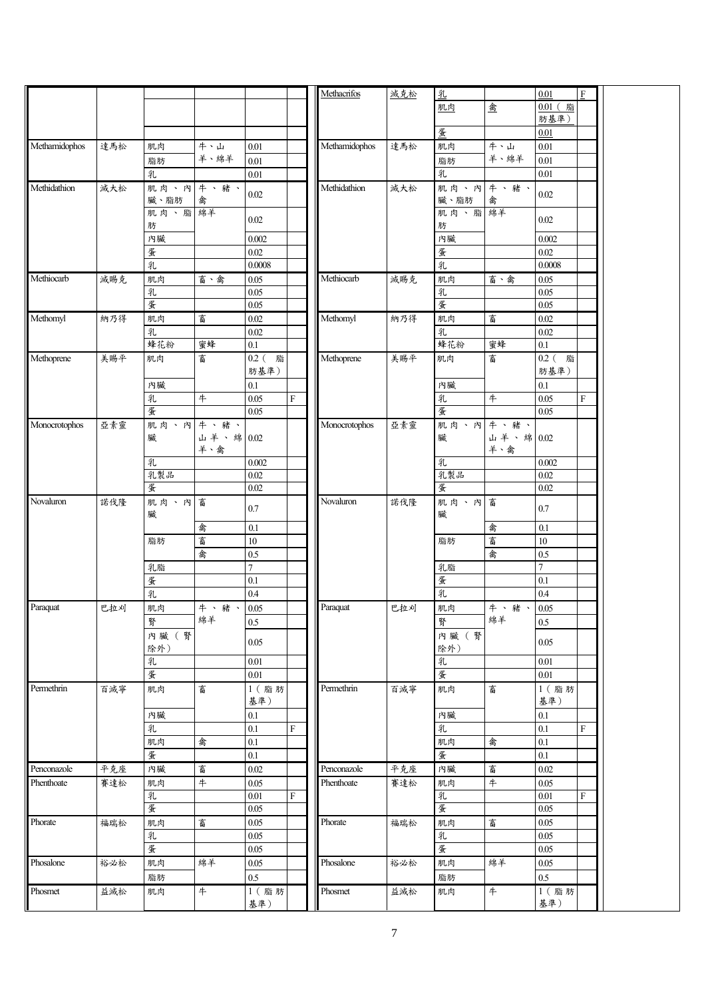|               |     |          |           |                |           | Methacrifos   | 滅克松 | 乳        |            | 0.01       | $\mathbf F$ |  |
|---------------|-----|----------|-----------|----------------|-----------|---------------|-----|----------|------------|------------|-------------|--|
|               |     |          |           |                |           |               |     | 肌肉       | 禽          | 0.01 (脂    |             |  |
|               |     |          |           |                |           |               |     |          |            | 肪基準)       |             |  |
|               |     |          |           |                |           |               |     | 蛋        |            | 0.01       |             |  |
|               |     |          |           |                |           |               |     |          |            |            |             |  |
| Methamidophos | 達馬松 | 肌肉       | 牛、山       | 0.01           |           | Methamidophos | 達馬松 | 肌肉       | 牛、山        | $0.01\,$   |             |  |
|               |     | 脂肪       | 羊、綿羊      | 0.01           |           |               |     | 脂肪       | 羊、綿羊       | $0.01\,$   |             |  |
|               |     | 乳        |           | 0.01           |           |               |     | 乳        |            | 0.01       |             |  |
| Methidathion  | 滅大松 | 肌肉、內牛、豬、 |           |                |           | Methidathion  | 減大松 | 肌肉、內牛、豬、 |            |            |             |  |
|               |     | 臟、脂肪     |           | 0.02           |           |               |     | 臟、脂肪     |            | 0.02       |             |  |
|               |     |          | 禽         |                |           |               |     | 肌肉、脂綿羊   | 禽          |            |             |  |
|               |     | 肌肉、脂綿羊   |           | $0.02\,$       |           |               |     |          |            | 0.02       |             |  |
|               |     | 肪        |           |                |           |               |     | 肪        |            |            |             |  |
|               |     | 內臟       |           | 0.002          |           |               |     | 內臟       |            | 0.002      |             |  |
|               |     | 蛋        |           | 0.02           |           |               |     | 蛋        |            | 0.02       |             |  |
|               |     | 乳        |           | 0.0008         |           |               |     | 乳        |            | $0.0008\,$ |             |  |
| Methiocarb    | 減賜克 | 肌肉       | 畜、禽       | 0.05           |           | Methiocarb    | 滅賜克 | 肌肉       | 畜、禽        | 0.05       |             |  |
|               |     |          |           |                |           |               |     |          |            |            |             |  |
|               |     | 乳        |           | 0.05           |           |               |     | 乳        |            | 0.05       |             |  |
|               |     | 蛋        |           | 0.05           |           |               |     | 蛋        |            | $0.05\,$   |             |  |
| Methomyl      | 納乃得 | 肌肉       | 畜         | $0.02\,$       |           | Methomyl      | 納乃得 | 肌肉       | 畜          | $0.02\,$   |             |  |
|               |     | 乳        |           | $0.02\,$       |           |               |     | 乳        |            | $0.02\,$   |             |  |
|               |     | 蜂花粉      | 蜜蜂        | 0.1            |           |               |     | 蜂花粉      | 蜜蜂         | 0.1        |             |  |
|               |     |          | 畜         |                |           | Methoprene    |     |          | 畜          | 0.2 (脂     |             |  |
| Methoprene    | 美賜平 | 肌肉       |           | 0.2 (脂         |           |               | 美賜平 | 肌肉       |            |            |             |  |
|               |     |          |           | 肪基準)           |           |               |     |          |            | 肪基準)       |             |  |
|               |     | 內臟       |           | 0.1            |           |               |     | 內臟       |            | 0.1        |             |  |
|               |     | 乳        | $\#$      | 0.05           | $\rm F$   |               |     | 乳        | $\#$       | 0.05       | $\mathbf F$ |  |
|               |     | 蛋        |           | 0.05           |           |               |     | 蛋        |            | 0.05       |             |  |
|               |     | 肌肉、內牛、豬、 |           |                |           |               | 亞素靈 |          |            |            |             |  |
| Monocrotophos | 亞素靈 |          |           |                |           | Monocrotophos |     | 肌肉、內牛、豬、 |            |            |             |  |
|               |     | 臟        | 山羊、綿 0.02 |                |           |               |     | 臟        | 山羊、綿 0.02  |            |             |  |
|               |     |          | 羊、禽       |                |           |               |     |          | 羊、禽        |            |             |  |
|               |     | 乳        |           | 0.002          |           |               |     | 乳        |            | 0.002      |             |  |
|               |     | 乳製品      |           | 0.02           |           |               |     | 乳製品      |            | 0.02       |             |  |
|               |     | 蛋        |           | 0.02           |           |               |     | 蛋        |            | 0.02       |             |  |
| Novaluron     | 諾伐隆 | 肌肉、內     | 畜         |                |           | Novaluron     | 諾伐隆 | 肌肉、內畜    |            |            |             |  |
|               |     | 臟        |           | $0.7\,$        |           |               |     | 臟        |            | 0.7        |             |  |
|               |     |          |           |                |           |               |     |          |            |            |             |  |
|               |     |          | 禽         | 0.1            |           |               |     |          | 禽          | 0.1        |             |  |
|               |     | 脂肪       | 畜         | $10\,$         |           |               |     | 脂肪       | 畜          | $10\,$     |             |  |
|               |     |          | 禽         | $0.5\,$        |           |               |     |          | 禽          | $0.5\,$    |             |  |
|               |     | 乳脂       |           | $\overline{7}$ |           |               |     | 乳脂       |            | 7          |             |  |
|               |     | 蛋        |           | 0.1            |           |               |     | 蛋        |            | 0.1        |             |  |
|               |     |          |           |                |           |               |     |          |            |            |             |  |
|               |     | 乳        |           | 0.4            |           |               |     | 乳        |            | 0.4        |             |  |
| Paraquat      | 巴拉刈 | 肌肉       | 牛、豬、      | 0.05           |           | Paraquat      | 巴拉刈 | 肌肉       | 牛、豬、       | 0.05       |             |  |
|               |     | 腎        | 綿羊        | $0.5\,$        |           |               |     | 腎        | 綿羊         | $0.5\,$    |             |  |
|               |     | 內臟(腎     |           |                |           |               |     | 內臟(腎     |            |            |             |  |
|               |     | 除外)      |           | 0.05           |           |               |     | 除外)      |            | $0.05\,$   |             |  |
|               |     |          |           |                |           |               |     |          |            |            |             |  |
|               |     | 乳        |           | $0.01\,$       |           |               |     | 乳        |            | $0.01\,$   |             |  |
|               |     | 蛋        |           | 0.01           |           |               |     | 蛋        |            | 0.01       |             |  |
| Permethrin    | 百滅寧 | 肌肉       | 畜         | 1 (脂肪          |           | Permethrin    | 百滅寧 | 肌肉       | 畜          | 1 (脂肪      |             |  |
|               |     |          |           | 基準)            |           |               |     |          |            | 基準)        |             |  |
|               |     | 內臟       |           | 0.1            |           |               |     | 內臟       |            | $0.1\,$    |             |  |
|               |     |          |           | 0.1            | ${\bf F}$ |               |     |          |            | $0.1\,$    | $\mathbf F$ |  |
|               |     | 乳        |           |                |           |               |     | 乳        |            |            |             |  |
|               |     | 肌肉       | 禽         | 0.1            |           |               |     | 肌肉       | 禽          | 0.1        |             |  |
|               |     | 蛋        |           | 0.1            |           |               |     | 蛋        |            | $0.1\,$    |             |  |
| Penconazole   | 平克座 | 內臟       | 畜         | $0.02\,$       |           | Penconazole   | 平克座 | 內臟       | 畜          | $0.02\,$   |             |  |
| Phenthoate    | 賽達松 | 肌肉       | #         | 0.05           |           | Phenthoate    | 賽達松 | 肌肉       | $\#$       | 0.05       |             |  |
|               |     |          |           | 0.01           | ${\bf F}$ |               |     |          |            | $0.01\,$   | $\mathbf F$ |  |
|               |     | 乳        |           |                |           |               |     | 乳        |            |            |             |  |
|               |     | 蛋        |           | 0.05           |           |               |     | 蛋        |            | $0.05\,$   |             |  |
| Phorate       | 福瑞松 | 肌肉       | 畜         | 0.05           |           | Phorate       | 福瑞松 | 肌肉       | 畜          | 0.05       |             |  |
|               |     | 乳        |           | 0.05           |           |               |     | 乳        |            | 0.05       |             |  |
|               |     | 蛋        |           | 0.05           |           |               |     | 蛋        |            | 0.05       |             |  |
| Phosalone     |     |          |           |                |           | Phosalone     |     |          |            |            |             |  |
|               | 裕必松 | 肌肉       | 綿羊        | 0.05           |           |               | 裕必松 | 肌肉       | 綿羊         | 0.05       |             |  |
|               |     | 脂肪       |           | $0.5\,$        |           |               |     | 脂肪       |            | $0.5\,$    |             |  |
| Phosmet       | 益滅松 | 肌肉       | $+$       | 1 (脂肪          |           | Phosmet       | 益滅松 | 肌肉       | $\ddagger$ | $1$ (脂肪    |             |  |
|               |     |          |           | 基準)            |           |               |     |          |            | 基準)        |             |  |
|               |     |          |           |                |           |               |     |          |            |            |             |  |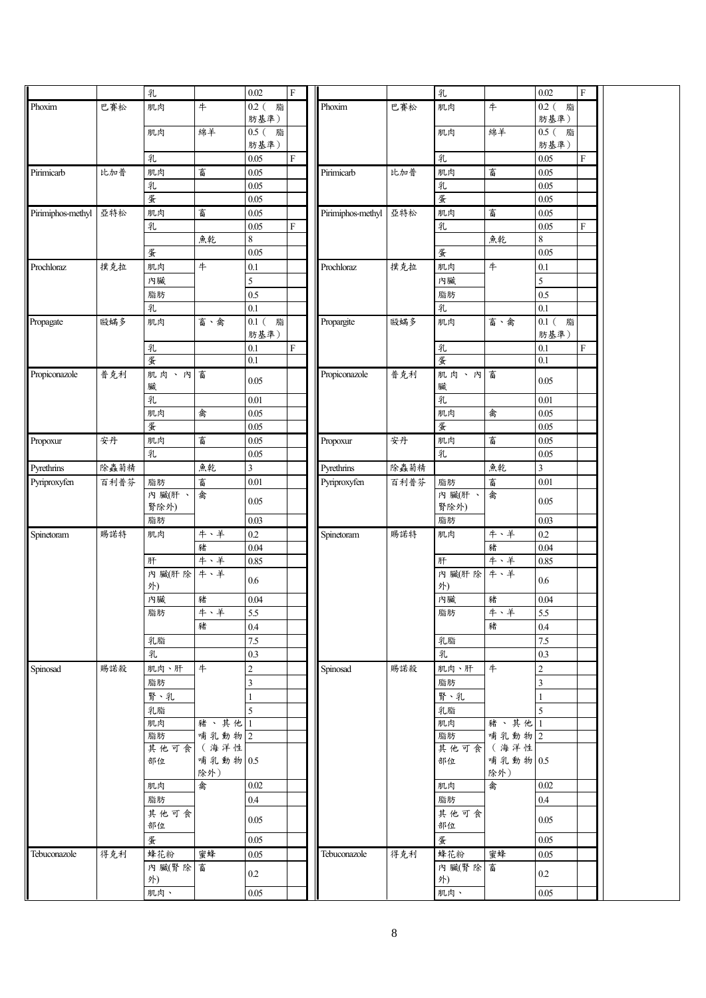|                   |      | 乳         |                | 0.02             | $\overline{F}$            |                   |      | 乳         |          | 0.02             | $\mathbf{F}$              |  |
|-------------------|------|-----------|----------------|------------------|---------------------------|-------------------|------|-----------|----------|------------------|---------------------------|--|
| Phoxim            |      |           |                |                  |                           | Phoxim            |      |           |          |                  |                           |  |
|                   | 巴賽松  | 肌肉        | #              | 0.2 (脂           |                           |                   | 巴賽松  | 肌肉        | #        | $0.2$ (脂         |                           |  |
|                   |      |           |                | 肪基準)             |                           |                   |      |           |          | 肪基準)             |                           |  |
|                   |      | 肌肉        | 綿羊             | $0.5\,$ (<br>脂   |                           |                   |      | 肌肉        | 綿羊       | $0.5$ ( 脂        |                           |  |
|                   |      |           |                | 肪基準)             |                           |                   |      |           |          | 肪基準)             |                           |  |
|                   |      | 乳         |                | 0.05             | $\mathbf F$               |                   |      | 乳         |          | 0.05             | $\boldsymbol{\mathrm{F}}$ |  |
| Pirimicarb        | 比加普  | 肌肉        | 畜              | 0.05             |                           | Pirimicarb        | 比加普  | 肌肉        | 畜        | 0.05             |                           |  |
|                   |      | 乳         |                | 0.05             |                           |                   |      | 乳         |          | 0.05             |                           |  |
|                   |      | 蛋         |                | 0.05             |                           |                   |      | 蛋         |          | 0.05             |                           |  |
| Pirimiphos-methyl | 亞特松  | 肌肉        | 畜              | $0.05\,$         |                           | Pirimiphos-methyl | 亞特松  | 肌肉        | 畜        | $0.05\,$         |                           |  |
|                   |      | 乳         |                | 0.05             | $\boldsymbol{\mathrm{F}}$ |                   |      | 乳         |          | 0.05             | $\boldsymbol{\mathrm{F}}$ |  |
|                   |      |           | 魚乾             | $\,8\,$          |                           |                   |      |           | 魚乾       | $\,8\,$          |                           |  |
|                   |      | 蛋         |                | 0.05             |                           |                   |      | 蛋         |          | 0.05             |                           |  |
|                   |      |           | #              |                  |                           |                   | 撲克拉  |           | #        |                  |                           |  |
| Prochloraz        | 撲克拉  | 肌肉        |                | $0.1\,$          |                           | Prochloraz        |      | 肌肉        |          | $0.1\,$          |                           |  |
|                   |      | 內臟        |                | 5                |                           |                   |      | 內臟        |          | 5                |                           |  |
|                   |      | 脂肪        |                | 0.5              |                           |                   |      | 脂肪        |          | $0.5\,$          |                           |  |
|                   |      | 乳         |                | 0.1              |                           |                   |      | 乳         |          | $\overline{0.1}$ |                           |  |
| Propagate         | 毆蟎多  | 肌肉        | 畜、禽            | $0.1$ (<br>脂     |                           | Propargite        | 毆蟎多  | 肌肉        | 畜、禽      | $0.1$ (<br>脂     |                           |  |
|                   |      |           |                | 肪基準)             |                           |                   |      |           |          | 肪基準)             |                           |  |
|                   |      | 乳         |                | 0.1              | $\mathbf F$               |                   |      | 乳         |          | 0.1              | $\mathbf F$               |  |
|                   |      | 蛋         |                | 0.1              |                           |                   |      | 蛋         |          | $0.1\,$          |                           |  |
| Propiconazole     | 普克利  | 肌肉、內      | 畜              |                  |                           | Propiconazole     | 普克利  | 肌肉、內      | 畜        |                  |                           |  |
|                   |      | 臟         |                | 0.05             |                           |                   |      | 臟         |          | 0.05             |                           |  |
|                   |      | 乳         |                | $0.01\,$         |                           |                   |      | 乳         |          | $0.01\,$         |                           |  |
|                   |      | 肌肉        | 禽              | 0.05             |                           |                   |      | 肌肉        | 禽        | 0.05             |                           |  |
|                   |      | 蛋         |                |                  |                           |                   |      | 蛋         |          |                  |                           |  |
|                   |      |           |                | 0.05             |                           |                   |      |           |          | 0.05             |                           |  |
| Propoxur          | 安丹   | 肌肉        | 畜              | 0.05             |                           | Propoxur          | 安丹   | 肌肉        | 畜        | $0.05\,$         |                           |  |
|                   |      | 乳         |                | 0.05             |                           |                   |      | 乳         |          | 0.05             |                           |  |
| Pyrethrins        | 除蟲菊精 |           | 魚乾             | $\mathfrak{Z}$   |                           | Pyrethrins        | 除蟲菊精 |           | 魚乾       | $\mathfrak{Z}$   |                           |  |
| Pyriproxyfen      | 百利普芬 | 脂肪        | 畜              | $0.01\,$         |                           | Pyriproxyfen      | 百利普芬 | 脂肪        | 畜        | $0.01\,$         |                           |  |
|                   |      | 內臟(肝、     | 禽              |                  |                           |                   |      | 內臟(肝、     | 禽        |                  |                           |  |
|                   |      | 腎除外)      |                | 0.05             |                           |                   |      | 腎除外)      |          | 0.05             |                           |  |
|                   |      | 脂肪        |                | 0.03             |                           |                   |      | 脂肪        |          | 0.03             |                           |  |
| Spinetoram        | 賜諾特  | 肌肉        | 牛、羊            | $0.2\,$          |                           | Spinetoram        | 賜諾特  | 肌肉        | 牛、羊      | $0.2\,$          |                           |  |
|                   |      |           | 豬              | $0.04\,$         |                           |                   |      |           | 豬        | 0.04             |                           |  |
|                   |      | 肝         | 牛、羊            | 0.85             |                           |                   |      | 肝         | 牛、羊      | 0.85             |                           |  |
|                   |      | 內 臟(肝除    | 牛、羊            |                  |                           |                   |      | 內 臟(肝除    | 牛、羊      |                  |                           |  |
|                   |      | 外)        |                | 0.6              |                           |                   |      | 外)        |          | 0.6              |                           |  |
|                   |      | 內臟        | 豬              | $0.04\,$         |                           |                   |      | 內臟        | 豬        | 0.04             |                           |  |
|                   |      |           | 牛、羊            |                  |                           |                   |      |           | 牛、羊      |                  |                           |  |
|                   |      | 脂肪        |                | 5.5              |                           |                   |      | 脂肪        |          | 5.5              |                           |  |
|                   |      |           | 豬              | 0.4              |                           |                   |      |           | 豬        | 0.4              |                           |  |
|                   |      | 乳脂        |                | 7.5              |                           |                   |      | 乳脂        |          | 7.5              |                           |  |
|                   |      | 乳         |                | 0.3              |                           |                   |      | 乳         |          | 0.3              |                           |  |
| Spinosad          | 賜諾殺  | 肌肉、肝      | 牛              | $\boldsymbol{2}$ |                           | Spinosad          | 賜諾殺  | 肌肉、肝      | 牛        | $\sqrt{2}$       |                           |  |
|                   |      | 脂肪        |                | 3                |                           |                   |      | 脂肪        |          | 3                |                           |  |
|                   |      | 腎、乳       |                |                  |                           |                   |      | 腎、乳       |          |                  |                           |  |
|                   |      | 乳脂        |                | 5                |                           |                   |      | 乳脂        |          | 5                |                           |  |
|                   |      |           | 豬、其他           | -1               |                           |                   |      |           | 豬、其他     |                  |                           |  |
|                   |      | 肌肉        |                |                  |                           |                   |      | 肌肉        | 哺乳動物 2   | -1               |                           |  |
|                   |      | 脂肪        | 哺乳動物 2<br>(海洋性 |                  |                           |                   |      | 脂肪        | (海洋性     |                  |                           |  |
|                   |      | 其他可食      | 哺乳動物 0.5       |                  |                           |                   |      | 其他可食      | 哺乳動物 0.5 |                  |                           |  |
|                   |      | 部位        | 除外)            |                  |                           |                   |      | 部位        | 除外)      |                  |                           |  |
|                   |      |           |                |                  |                           |                   |      | 肌肉        | 禽        | 0.02             |                           |  |
|                   |      |           |                |                  |                           |                   |      |           |          |                  |                           |  |
|                   |      | 肌肉        | 禽              | 0.02             |                           |                   |      |           |          |                  |                           |  |
|                   |      | 脂肪        |                | $0.4\,$          |                           |                   |      | 脂肪        |          | $0.4\,$          |                           |  |
|                   |      | 其他可食      |                |                  |                           |                   |      | 其他可食      |          |                  |                           |  |
|                   |      | 部位        |                | 0.05             |                           |                   |      | 部位        |          | 0.05             |                           |  |
|                   |      | 蛋         |                | 0.05             |                           |                   |      | 蛋         |          | 0.05             |                           |  |
| Tebuconazole      |      |           | 蜜蜂             | $0.05\,$         |                           | Tebuconazole      |      |           | 蜜蜂       | 0.05             |                           |  |
|                   | 得克利  | 蜂花粉       |                |                  |                           |                   | 得克利  | 蜂花粉       |          |                  |                           |  |
|                   |      | 內臟(腎除     | 畜              | $0.2\,$          |                           |                   |      | 內 臟(腎除    | 畜        | 0.2              |                           |  |
|                   |      | 外)<br>肌肉、 |                | 0.05             |                           |                   |      | 外)<br>肌肉、 |          | 0.05             |                           |  |